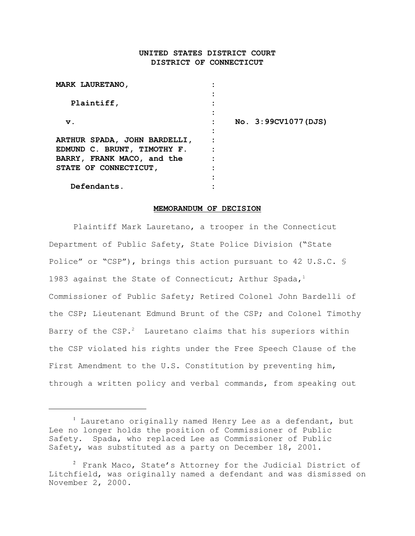# **UNITED STATES DISTRICT COURT DISTRICT OF CONNECTICUT**

| No. 3:99CV1077 (DJS) |
|----------------------|
|                      |
|                      |
|                      |
|                      |
|                      |
|                      |
|                      |
|                      |

#### **MEMORANDUM OF DECISION**

Plaintiff Mark Lauretano, a trooper in the Connecticut Department of Public Safety, State Police Division ("State Police" or "CSP"), brings this action pursuant to 42 U.S.C. § 1983 against the State of Connecticut; Arthur Spada,<sup>1</sup> Commissioner of Public Safety; Retired Colonel John Bardelli of the CSP; Lieutenant Edmund Brunt of the CSP; and Colonel Timothy Barry of the  $CSP.^2$  Lauretano claims that his superiors within the CSP violated his rights under the Free Speech Clause of the First Amendment to the U.S. Constitution by preventing him, through a written policy and verbal commands, from speaking out

<sup>&</sup>lt;sup>1</sup> Lauretano originally named Henry Lee as a defendant, but Lee no longer holds the position of Commissioner of Public Safety. Spada, who replaced Lee as Commissioner of Public Safety, was substituted as a party on December 18, 2001.

 $2$  Frank Maco, State's Attorney for the Judicial District of Litchfield, was originally named a defendant and was dismissed on November 2, 2000.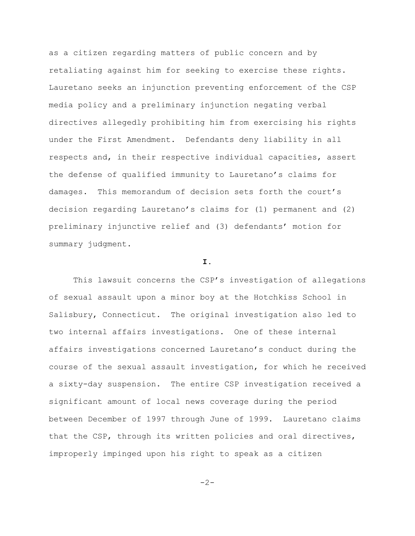as a citizen regarding matters of public concern and by retaliating against him for seeking to exercise these rights. Lauretano seeks an injunction preventing enforcement of the CSP media policy and a preliminary injunction negating verbal directives allegedly prohibiting him from exercising his rights under the First Amendment. Defendants deny liability in all respects and, in their respective individual capacities, assert the defense of qualified immunity to Lauretano's claims for damages. This memorandum of decision sets forth the court's decision regarding Lauretano's claims for (1) permanent and (2) preliminary injunctive relief and (3) defendants' motion for summary judgment.

### **I.**

This lawsuit concerns the CSP's investigation of allegations of sexual assault upon a minor boy at the Hotchkiss School in Salisbury, Connecticut. The original investigation also led to two internal affairs investigations. One of these internal affairs investigations concerned Lauretano's conduct during the course of the sexual assault investigation, for which he received a sixty-day suspension. The entire CSP investigation received a significant amount of local news coverage during the period between December of 1997 through June of 1999. Lauretano claims that the CSP, through its written policies and oral directives, improperly impinged upon his right to speak as a citizen

 $-2-$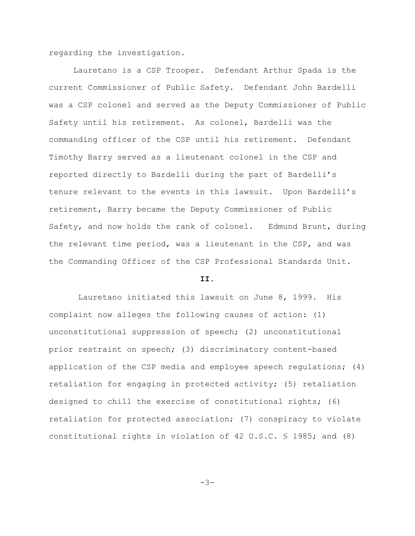regarding the investigation.

Lauretano is a CSP Trooper. Defendant Arthur Spada is the current Commissioner of Public Safety. Defendant John Bardelli was a CSP colonel and served as the Deputy Commissioner of Public Safety until his retirement. As colonel, Bardelli was the commanding officer of the CSP until his retirement. Defendant Timothy Barry served as a lieutenant colonel in the CSP and reported directly to Bardelli during the part of Bardelli's tenure relevant to the events in this lawsuit. Upon Bardelli's retirement, Barry became the Deputy Commissioner of Public Safety, and now holds the rank of colonel. Edmund Brunt, during the relevant time period, was a lieutenant in the CSP, and was the Commanding Officer of the CSP Professional Standards Unit.

#### **II.**

 Lauretano initiated this lawsuit on June 8, 1999. His complaint now alleges the following causes of action: (1) unconstitutional suppression of speech; (2) unconstitutional prior restraint on speech; (3) discriminatory content-based application of the CSP media and employee speech regulations; (4) retaliation for engaging in protected activity; (5) retaliation designed to chill the exercise of constitutional rights; (6) retaliation for protected association; (7) conspiracy to violate constitutional rights in violation of 42 U.S.C. § 1985; and (8)

$$
-3-
$$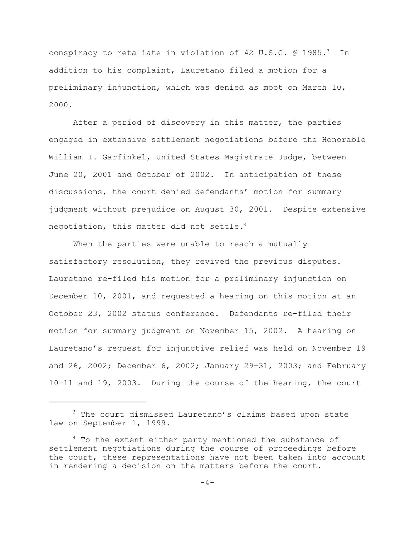conspiracy to retaliate in violation of 42 U.S.C.  $\frac{1}{5}$  1985.<sup>3</sup> In addition to his complaint, Lauretano filed a motion for a preliminary injunction, which was denied as moot on March 10, 2000.

After a period of discovery in this matter, the parties engaged in extensive settlement negotiations before the Honorable William I. Garfinkel, United States Magistrate Judge, between June 20, 2001 and October of 2002. In anticipation of these discussions, the court denied defendants' motion for summary judgment without prejudice on August 30, 2001. Despite extensive negotiation, this matter did not settle. $4$ 

When the parties were unable to reach a mutually satisfactory resolution, they revived the previous disputes. Lauretano re-filed his motion for a preliminary injunction on December 10, 2001, and requested a hearing on this motion at an October 23, 2002 status conference. Defendants re-filed their motion for summary judgment on November 15, 2002. A hearing on Lauretano's request for injunctive relief was held on November 19 and 26, 2002; December 6, 2002; January 29-31, 2003; and February 10-11 and 19, 2003. During the course of the hearing, the court

<sup>&</sup>lt;sup>3</sup> The court dismissed Lauretano's claims based upon state law on September 1, 1999.

<sup>&</sup>lt;sup>4</sup> To the extent either party mentioned the substance of settlement negotiations during the course of proceedings before the court, these representations have not been taken into account in rendering a decision on the matters before the court.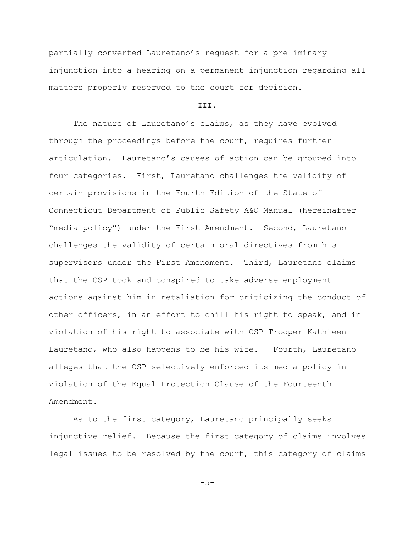partially converted Lauretano's request for a preliminary injunction into a hearing on a permanent injunction regarding all matters properly reserved to the court for decision.

#### **III.**

The nature of Lauretano's claims, as they have evolved through the proceedings before the court, requires further articulation. Lauretano's causes of action can be grouped into four categories. First, Lauretano challenges the validity of certain provisions in the Fourth Edition of the State of Connecticut Department of Public Safety A&O Manual (hereinafter "media policy") under the First Amendment. Second, Lauretano challenges the validity of certain oral directives from his supervisors under the First Amendment. Third, Lauretano claims that the CSP took and conspired to take adverse employment actions against him in retaliation for criticizing the conduct of other officers, in an effort to chill his right to speak, and in violation of his right to associate with CSP Trooper Kathleen Lauretano, who also happens to be his wife. Fourth, Lauretano alleges that the CSP selectively enforced its media policy in violation of the Equal Protection Clause of the Fourteenth Amendment.

As to the first category, Lauretano principally seeks injunctive relief. Because the first category of claims involves legal issues to be resolved by the court, this category of claims

 $-5-$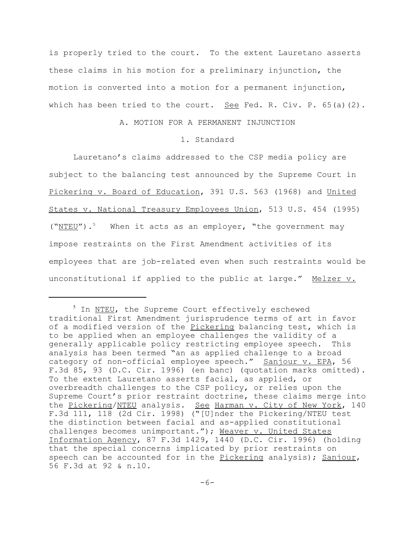is properly tried to the court. To the extent Lauretano asserts these claims in his motion for a preliminary injunction, the motion is converted into a motion for a permanent injunction, which has been tried to the court. See Fed. R. Civ. P.  $65(a)(2)$ .

## A. MOTION FOR A PERMANENT INJUNCTION

#### 1. Standard

Lauretano's claims addressed to the CSP media policy are subject to the balancing test announced by the Supreme Court in Pickering v. Board of Education, 391 U.S. 563 (1968) and United States v. National Treasury Employees Union, 513 U.S. 454 (1995) ("NTEU").<sup>5</sup> When it acts as an employer, "the government may impose restraints on the First Amendment activities of its employees that are job-related even when such restraints would be unconstitutional if applied to the public at large." Melzer v.

<sup>&</sup>lt;sup>5</sup> In NTEU, the Supreme Court effectively eschewed traditional First Amendment jurisprudence terms of art in favor of a modified version of the Pickering balancing test, which is to be applied when an employee challenges the validity of a generally applicable policy restricting employee speech. This analysis has been termed "an as applied challenge to a broad category of non-official employee speech." Sanjour v. EPA, 56 F.3d 85, 93 (D.C. Cir. 1996) (en banc) (quotation marks omitted). To the extent Lauretano asserts facial, as applied, or overbreadth challenges to the CSP policy, or relies upon the Supreme Court's prior restraint doctrine, these claims merge into the Pickering/NTEU analysis. See Harman v. City of New York, 140 F.3d 111, 118 (2d Cir. 1998) ("[U]nder the Pickering/NTEU test the distinction between facial and as-applied constitutional challenges becomes unimportant."); Weaver v. United States Information Agency, 87 F.3d 1429, 1440 (D.C. Cir. 1996) (holding that the special concerns implicated by prior restraints on speech can be accounted for in the Pickering analysis); Sanjour, 56 F.3d at 92 & n.10.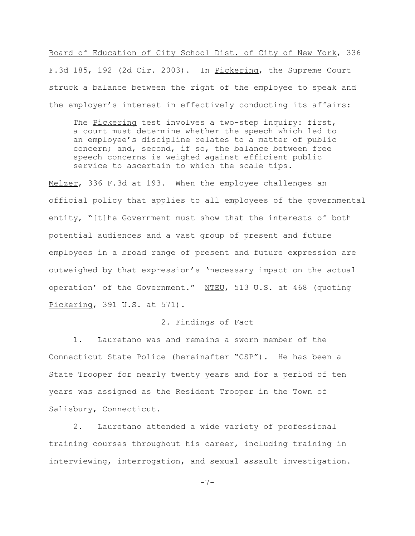Board of Education of City School Dist. of City of New York, 336 F.3d 185, 192 (2d Cir. 2003). In Pickering, the Supreme Court struck a balance between the right of the employee to speak and the employer's interest in effectively conducting its affairs:

The Pickering test involves a two-step inquiry: first, a court must determine whether the speech which led to an employee's discipline relates to a matter of public concern; and, second, if so, the balance between free speech concerns is weighed against efficient public service to ascertain to which the scale tips.

Melzer, 336 F.3d at 193. When the employee challenges an official policy that applies to all employees of the governmental entity, "[t]he Government must show that the interests of both potential audiences and a vast group of present and future employees in a broad range of present and future expression are outweighed by that expression's 'necessary impact on the actual operation' of the Government." NTEU, 513 U.S. at 468 (quoting Pickering, 391 U.S. at 571).

### 2. Findings of Fact

1. Lauretano was and remains a sworn member of the Connecticut State Police (hereinafter "CSP"). He has been a State Trooper for nearly twenty years and for a period of ten years was assigned as the Resident Trooper in the Town of Salisbury, Connecticut.

2. Lauretano attended a wide variety of professional training courses throughout his career, including training in interviewing, interrogation, and sexual assault investigation.

-7-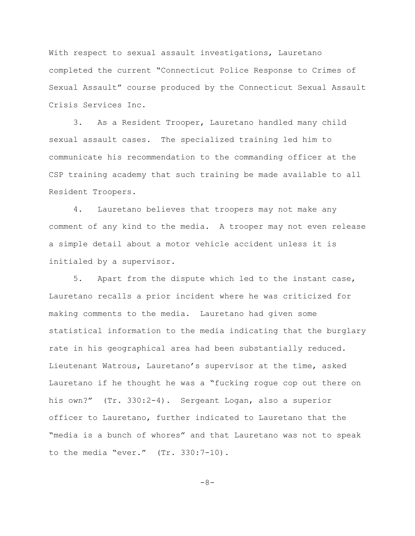With respect to sexual assault investigations, Lauretano completed the current "Connecticut Police Response to Crimes of Sexual Assault" course produced by the Connecticut Sexual Assault Crisis Services Inc.

3. As a Resident Trooper, Lauretano handled many child sexual assault cases. The specialized training led him to communicate his recommendation to the commanding officer at the CSP training academy that such training be made available to all Resident Troopers.

4. Lauretano believes that troopers may not make any comment of any kind to the media. A trooper may not even release a simple detail about a motor vehicle accident unless it is initialed by a supervisor.

5. Apart from the dispute which led to the instant case, Lauretano recalls a prior incident where he was criticized for making comments to the media. Lauretano had given some statistical information to the media indicating that the burglary rate in his geographical area had been substantially reduced. Lieutenant Watrous, Lauretano's supervisor at the time, asked Lauretano if he thought he was a "fucking rogue cop out there on his own?" (Tr. 330:2-4). Sergeant Logan, also a superior officer to Lauretano, further indicated to Lauretano that the "media is a bunch of whores" and that Lauretano was not to speak to the media "ever." (Tr. 330:7-10).

-8-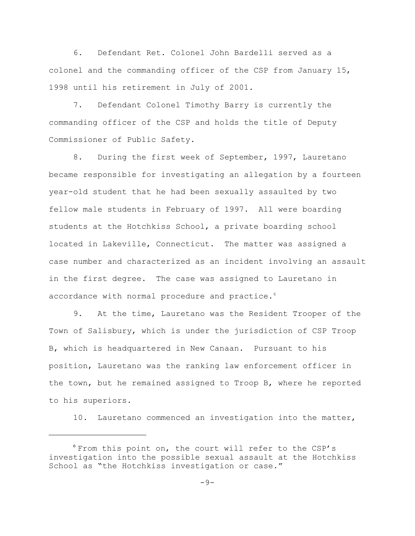6. Defendant Ret. Colonel John Bardelli served as a colonel and the commanding officer of the CSP from January 15, 1998 until his retirement in July of 2001.

7. Defendant Colonel Timothy Barry is currently the commanding officer of the CSP and holds the title of Deputy Commissioner of Public Safety.

8. During the first week of September, 1997, Lauretano became responsible for investigating an allegation by a fourteen year-old student that he had been sexually assaulted by two fellow male students in February of 1997. All were boarding students at the Hotchkiss School, a private boarding school located in Lakeville, Connecticut. The matter was assigned a case number and characterized as an incident involving an assault in the first degree. The case was assigned to Lauretano in accordance with normal procedure and practice.<sup>6</sup>

9. At the time, Lauretano was the Resident Trooper of the Town of Salisbury, which is under the jurisdiction of CSP Troop B, which is headquartered in New Canaan. Pursuant to his position, Lauretano was the ranking law enforcement officer in the town, but he remained assigned to Troop B, where he reported to his superiors.

10. Lauretano commenced an investigation into the matter,

<sup>6</sup> From this point on, the court will refer to the CSP's investigation into the possible sexual assault at the Hotchkiss School as "the Hotchkiss investigation or case."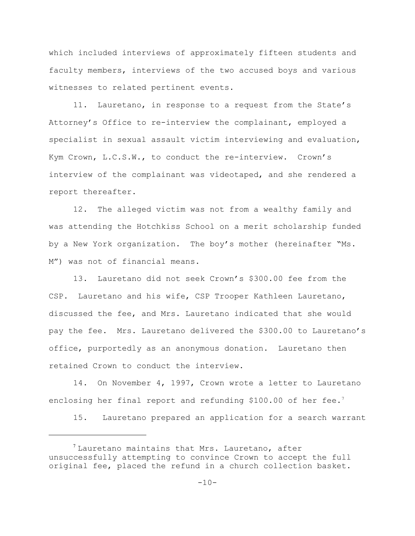which included interviews of approximately fifteen students and faculty members, interviews of the two accused boys and various witnesses to related pertinent events.

11. Lauretano, in response to a request from the State's Attorney's Office to re-interview the complainant, employed a specialist in sexual assault victim interviewing and evaluation, Kym Crown, L.C.S.W., to conduct the re-interview. Crown's interview of the complainant was videotaped, and she rendered a report thereafter.

12. The alleged victim was not from a wealthy family and was attending the Hotchkiss School on a merit scholarship funded by a New York organization. The boy's mother (hereinafter "Ms. M") was not of financial means.

13. Lauretano did not seek Crown's \$300.00 fee from the CSP. Lauretano and his wife, CSP Trooper Kathleen Lauretano, discussed the fee, and Mrs. Lauretano indicated that she would pay the fee. Mrs. Lauretano delivered the \$300.00 to Lauretano's office, purportedly as an anonymous donation. Lauretano then retained Crown to conduct the interview.

14. On November 4, 1997, Crown wrote a letter to Lauretano enclosing her final report and refunding \$100.00 of her fee.<sup>7</sup>

15. Lauretano prepared an application for a search warrant

 $1$ <sup>7</sup> Lauretano maintains that Mrs. Lauretano, after unsuccessfully attempting to convince Crown to accept the full original fee, placed the refund in a church collection basket.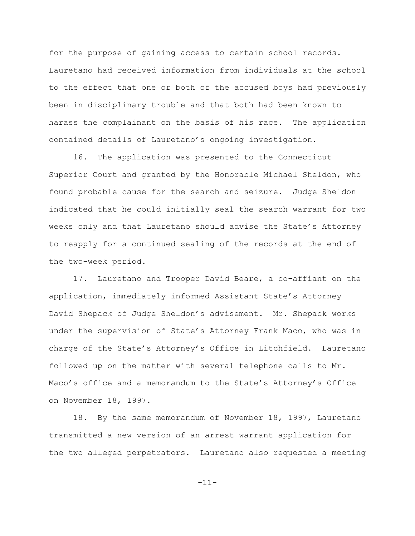for the purpose of gaining access to certain school records. Lauretano had received information from individuals at the school to the effect that one or both of the accused boys had previously been in disciplinary trouble and that both had been known to harass the complainant on the basis of his race. The application contained details of Lauretano's ongoing investigation.

16. The application was presented to the Connecticut Superior Court and granted by the Honorable Michael Sheldon, who found probable cause for the search and seizure. Judge Sheldon indicated that he could initially seal the search warrant for two weeks only and that Lauretano should advise the State's Attorney to reapply for a continued sealing of the records at the end of the two-week period.

17. Lauretano and Trooper David Beare, a co-affiant on the application, immediately informed Assistant State's Attorney David Shepack of Judge Sheldon's advisement. Mr. Shepack works under the supervision of State's Attorney Frank Maco, who was in charge of the State's Attorney's Office in Litchfield. Lauretano followed up on the matter with several telephone calls to Mr. Maco's office and a memorandum to the State's Attorney's Office on November 18, 1997.

18. By the same memorandum of November 18, 1997, Lauretano transmitted a new version of an arrest warrant application for the two alleged perpetrators. Lauretano also requested a meeting

-11-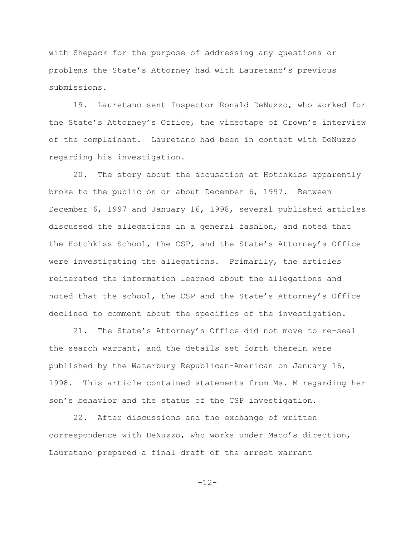with Shepack for the purpose of addressing any questions or problems the State's Attorney had with Lauretano's previous submissions.

19. Lauretano sent Inspector Ronald DeNuzzo, who worked for the State's Attorney's Office, the videotape of Crown's interview of the complainant. Lauretano had been in contact with DeNuzzo regarding his investigation.

20. The story about the accusation at Hotchkiss apparently broke to the public on or about December 6, 1997. Between December 6, 1997 and January 16, 1998, several published articles discussed the allegations in a general fashion, and noted that the Hotchkiss School, the CSP, and the State's Attorney's Office were investigating the allegations. Primarily, the articles reiterated the information learned about the allegations and noted that the school, the CSP and the State's Attorney's Office declined to comment about the specifics of the investigation.

21. The State's Attorney's Office did not move to re-seal the search warrant, and the details set forth therein were published by the Waterbury Republican-American on January 16, 1998. This article contained statements from Ms. M regarding her son's behavior and the status of the CSP investigation.

22. After discussions and the exchange of written correspondence with DeNuzzo, who works under Maco's direction, Lauretano prepared a final draft of the arrest warrant

-12-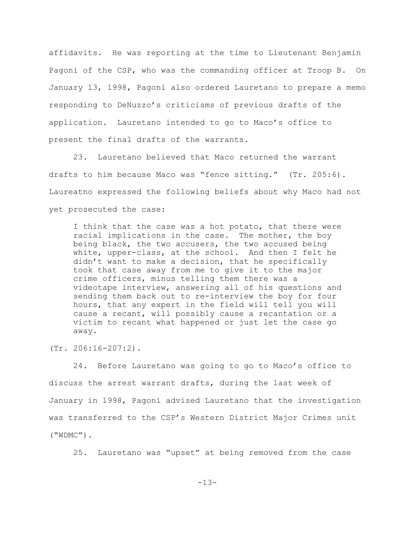affidavits. He was reporting at the time to Lieutenant Benjamin Pagoni of the CSP, who was the commanding officer at Troop B. On January 13, 1998, Pagoni also ordered Lauretano to prepare a memo responding to DeNuzzo's criticisms of previous drafts of the application. Lauretano intended to go to Maco's office to present the final drafts of the warrants.

23. Lauretano believed that Maco returned the warrant drafts to him because Maco was "fence sitting." (Tr. 205:6). Laureatno expressed the following beliefs about why Maco had not yet prosecuted the case:

I think that the case was a hot potato, that there were racial implications in the case. The mother, the boy being black, the two accusers, the two accused being white, upper-class, at the school. And then I felt he didn't want to make a decision, that he specifically took that case away from me to give it to the major crime officers, minus telling them there was a videotape interview, answering all of his questions and sending them back out to re-interview the boy for four hours, that any expert in the field will tell you will cause a recant, will possibly cause a recantation or a victim to recant what happened or just let the case go away.

(Tr. 206:16-207:2).

24. Before Lauretano was going to go to Maco's office to discuss the arrest warrant drafts, during the last week of January in 1998, Pagoni advised Lauretano that the investigation was transferred to the CSP's Western District Major Crimes unit ("WDMC").

25. Lauretano was "upset" at being removed from the case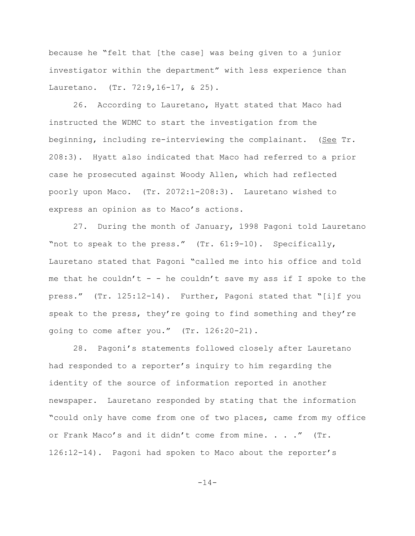because he "felt that [the case] was being given to a junior investigator within the department" with less experience than Lauretano. (Tr. 72:9,16-17, & 25).

26. According to Lauretano, Hyatt stated that Maco had instructed the WDMC to start the investigation from the beginning, including re-interviewing the complainant. (See Tr. 208:3). Hyatt also indicated that Maco had referred to a prior case he prosecuted against Woody Allen, which had reflected poorly upon Maco. (Tr. 2072:1-208:3). Lauretano wished to express an opinion as to Maco's actions.

27. During the month of January, 1998 Pagoni told Lauretano "not to speak to the press." (Tr. 61:9-10). Specifically, Lauretano stated that Pagoni "called me into his office and told me that he couldn't - - he couldn't save my ass if I spoke to the press." (Tr. 125:12-14). Further, Pagoni stated that "[i]f you speak to the press, they're going to find something and they're going to come after you." (Tr. 126:20-21).

28. Pagoni's statements followed closely after Lauretano had responded to a reporter's inquiry to him regarding the identity of the source of information reported in another newspaper. Lauretano responded by stating that the information "could only have come from one of two places, came from my office or Frank Maco's and it didn't come from mine. . . ." (Tr. 126:12-14). Pagoni had spoken to Maco about the reporter's

-14-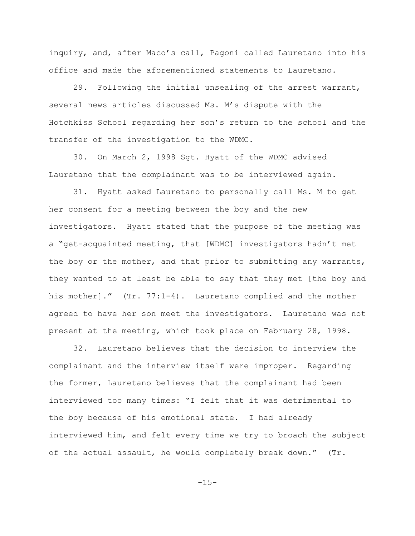inquiry, and, after Maco's call, Pagoni called Lauretano into his office and made the aforementioned statements to Lauretano.

29. Following the initial unsealing of the arrest warrant, several news articles discussed Ms. M's dispute with the Hotchkiss School regarding her son's return to the school and the transfer of the investigation to the WDMC.

30. On March 2, 1998 Sgt. Hyatt of the WDMC advised Lauretano that the complainant was to be interviewed again.

31. Hyatt asked Lauretano to personally call Ms. M to get her consent for a meeting between the boy and the new investigators. Hyatt stated that the purpose of the meeting was a "get-acquainted meeting, that [WDMC] investigators hadn't met the boy or the mother, and that prior to submitting any warrants, they wanted to at least be able to say that they met [the boy and his mother]." (Tr. 77:1-4). Lauretano complied and the mother agreed to have her son meet the investigators. Lauretano was not present at the meeting, which took place on February 28, 1998.

32. Lauretano believes that the decision to interview the complainant and the interview itself were improper. Regarding the former, Lauretano believes that the complainant had been interviewed too many times: "I felt that it was detrimental to the boy because of his emotional state. I had already interviewed him, and felt every time we try to broach the subject of the actual assault, he would completely break down." (Tr.

 $-15-$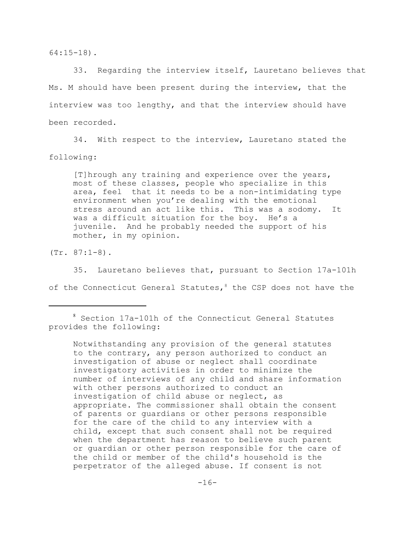64:15-18).

33. Regarding the interview itself, Lauretano believes that Ms. M should have been present during the interview, that the interview was too lengthy, and that the interview should have been recorded.

34. With respect to the interview, Lauretano stated the following:

[T]hrough any training and experience over the years, most of these classes, people who specialize in this area, feel that it needs to be a non-intimidating type environment when you're dealing with the emotional stress around an act like this. This was a sodomy. It was a difficult situation for the boy. He's a juvenile. And he probably needed the support of his mother, in my opinion.

(Tr. 87:1-8).

35. Lauretano believes that, pursuant to Section 17a-101h of the Connecticut General Statutes,  $8$  the CSP does not have the

Notwithstanding any provision of the general statutes to the contrary, any person authorized to conduct an investigation of abuse or neglect shall coordinate investigatory activities in order to minimize the number of interviews of any child and share information with other persons authorized to conduct an investigation of child abuse or neglect, as appropriate. The commissioner shall obtain the consent of parents or guardians or other persons responsible for the care of the child to any interview with a child, except that such consent shall not be required when the department has reason to believe such parent or guardian or other person responsible for the care of the child or member of the child's household is the perpetrator of the alleged abuse. If consent is not

<sup>8</sup> Section 17a-101h of the Connecticut General Statutes provides the following: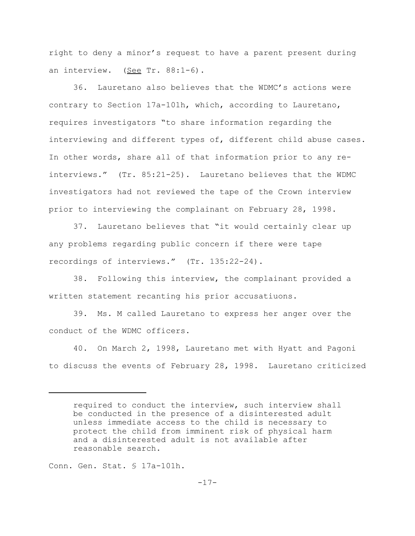right to deny a minor's request to have a parent present during an interview. (See Tr. 88:1-6).

36. Lauretano also believes that the WDMC's actions were contrary to Section 17a-101h, which, according to Lauretano, requires investigators "to share information regarding the interviewing and different types of, different child abuse cases. In other words, share all of that information prior to any reinterviews." (Tr. 85:21-25). Lauretano believes that the WDMC investigators had not reviewed the tape of the Crown interview prior to interviewing the complainant on February 28, 1998.

37. Lauretano believes that "it would certainly clear up any problems regarding public concern if there were tape recordings of interviews." (Tr. 135:22-24).

38. Following this interview, the complainant provided a written statement recanting his prior accusatiuons.

39. Ms. M called Lauretano to express her anger over the conduct of the WDMC officers.

40. On March 2, 1998, Lauretano met with Hyatt and Pagoni to discuss the events of February 28, 1998. Lauretano criticized

Conn. Gen. Stat. § 17a-101h.

required to conduct the interview, such interview shall be conducted in the presence of a disinterested adult unless immediate access to the child is necessary to protect the child from imminent risk of physical harm and a disinterested adult is not available after reasonable search.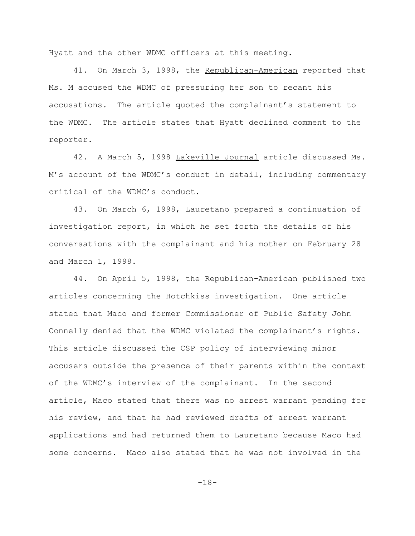Hyatt and the other WDMC officers at this meeting.

41. On March 3, 1998, the Republican-American reported that Ms. M accused the WDMC of pressuring her son to recant his accusations. The article quoted the complainant's statement to the WDMC. The article states that Hyatt declined comment to the reporter.

42. A March 5, 1998 Lakeville Journal article discussed Ms. M's account of the WDMC's conduct in detail, including commentary critical of the WDMC's conduct.

43. On March 6, 1998, Lauretano prepared a continuation of investigation report, in which he set forth the details of his conversations with the complainant and his mother on February 28 and March 1, 1998.

44. On April 5, 1998, the Republican-American published two articles concerning the Hotchkiss investigation. One article stated that Maco and former Commissioner of Public Safety John Connelly denied that the WDMC violated the complainant's rights. This article discussed the CSP policy of interviewing minor accusers outside the presence of their parents within the context of the WDMC's interview of the complainant. In the second article, Maco stated that there was no arrest warrant pending for his review, and that he had reviewed drafts of arrest warrant applications and had returned them to Lauretano because Maco had some concerns. Maco also stated that he was not involved in the

-18-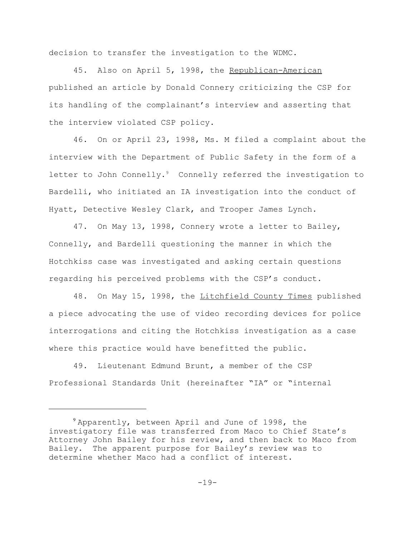decision to transfer the investigation to the WDMC.

45. Also on April 5, 1998, the Republican-American published an article by Donald Connery criticizing the CSP for its handling of the complainant's interview and asserting that the interview violated CSP policy.

46. On or April 23, 1998, Ms. M filed a complaint about the interview with the Department of Public Safety in the form of a letter to John Connelly.<sup>9</sup> Connelly referred the investigation to Bardelli, who initiated an IA investigation into the conduct of Hyatt, Detective Wesley Clark, and Trooper James Lynch.

47. On May 13, 1998, Connery wrote a letter to Bailey, Connelly, and Bardelli questioning the manner in which the Hotchkiss case was investigated and asking certain questions regarding his perceived problems with the CSP's conduct.

48. On May 15, 1998, the Litchfield County Times published a piece advocating the use of video recording devices for police interrogations and citing the Hotchkiss investigation as a case where this practice would have benefitted the public.

49. Lieutenant Edmund Brunt, a member of the CSP Professional Standards Unit (hereinafter "IA" or "internal

 $9$  Apparently, between April and June of 1998, the investigatory file was transferred from Maco to Chief State's Attorney John Bailey for his review, and then back to Maco from Bailey. The apparent purpose for Bailey's review was to determine whether Maco had a conflict of interest.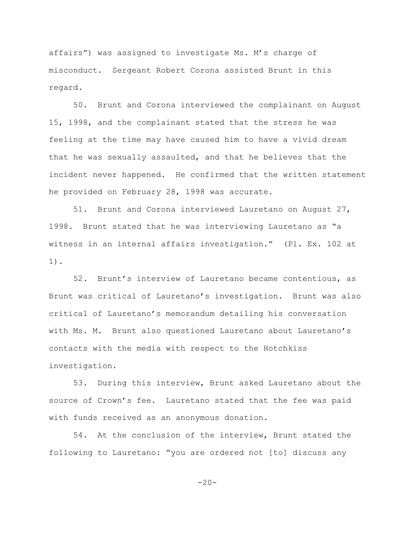affairs") was assigned to investigate Ms. M's charge of misconduct. Sergeant Robert Corona assisted Brunt in this regard.

50. Brunt and Corona interviewed the complainant on August 15, 1998, and the complainant stated that the stress he was feeling at the time may have caused him to have a vivid dream that he was sexually assaulted, and that he believes that the incident never happened. He confirmed that the written statement he provided on February 28, 1998 was accurate.

51. Brunt and Corona interviewed Lauretano on August 27, 1998. Brunt stated that he was interviewing Lauretano as "a witness in an internal affairs investigation." (Pl. Ex. 102 at 1).

52. Brunt's interview of Lauretano became contentious, as Brunt was critical of Lauretano's investigation. Brunt was also critical of Lauretano's memorandum detailing his conversation with Ms. M. Brunt also questioned Lauretano about Lauretano's contacts with the media with respect to the Hotchkiss investigation.

53. During this interview, Brunt asked Lauretano about the source of Crown's fee. Lauretano stated that the fee was paid with funds received as an anonymous donation.

54. At the conclusion of the interview, Brunt stated the following to Lauretano: "you are ordered not [to] discuss any

 $-20-$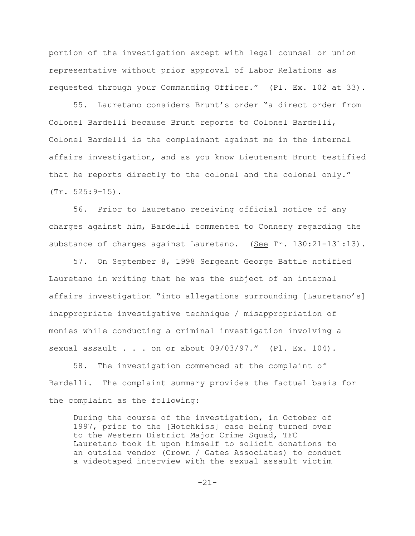portion of the investigation except with legal counsel or union representative without prior approval of Labor Relations as requested through your Commanding Officer." (Pl. Ex. 102 at 33).

55. Lauretano considers Brunt's order "a direct order from Colonel Bardelli because Brunt reports to Colonel Bardelli, Colonel Bardelli is the complainant against me in the internal affairs investigation, and as you know Lieutenant Brunt testified that he reports directly to the colonel and the colonel only." (Tr. 525:9-15).

56. Prior to Lauretano receiving official notice of any charges against him, Bardelli commented to Connery regarding the substance of charges against Lauretano. (See Tr. 130:21-131:13).

57. On September 8, 1998 Sergeant George Battle notified Lauretano in writing that he was the subject of an internal affairs investigation "into allegations surrounding [Lauretano's] inappropriate investigative technique / misappropriation of monies while conducting a criminal investigation involving a sexual assault . . . on or about 09/03/97." (Pl. Ex. 104).

58. The investigation commenced at the complaint of Bardelli. The complaint summary provides the factual basis for the complaint as the following:

During the course of the investigation, in October of 1997, prior to the [Hotchkiss] case being turned over to the Western District Major Crime Squad, TFC Lauretano took it upon himself to solicit donations to an outside vendor (Crown / Gates Associates) to conduct a videotaped interview with the sexual assault victim

-21-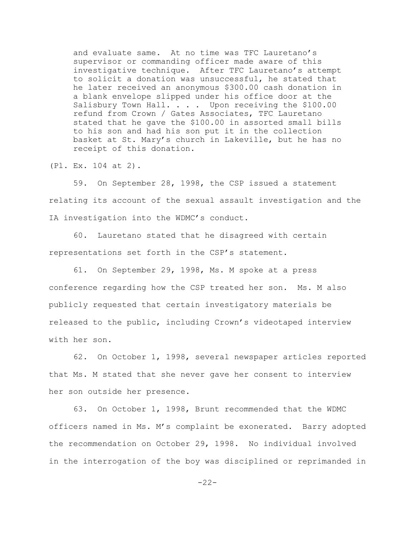and evaluate same. At no time was TFC Lauretano's supervisor or commanding officer made aware of this investigative technique. After TFC Lauretano's attempt to solicit a donation was unsuccessful, he stated that he later received an anonymous \$300.00 cash donation in a blank envelope slipped under his office door at the Salisbury Town Hall. . . . Upon receiving the \$100.00 refund from Crown / Gates Associates, TFC Lauretano stated that he gave the \$100.00 in assorted small bills to his son and had his son put it in the collection basket at St. Mary's church in Lakeville, but he has no receipt of this donation.

(Pl. Ex. 104 at 2).

59. On September 28, 1998, the CSP issued a statement relating its account of the sexual assault investigation and the IA investigation into the WDMC's conduct.

60. Lauretano stated that he disagreed with certain representations set forth in the CSP's statement.

61. On September 29, 1998, Ms. M spoke at a press conference regarding how the CSP treated her son. Ms. M also publicly requested that certain investigatory materials be released to the public, including Crown's videotaped interview with her son.

62. On October 1, 1998, several newspaper articles reported that Ms. M stated that she never gave her consent to interview her son outside her presence.

63. On October 1, 1998, Brunt recommended that the WDMC officers named in Ms. M's complaint be exonerated. Barry adopted the recommendation on October 29, 1998. No individual involved in the interrogation of the boy was disciplined or reprimanded in

 $-22-$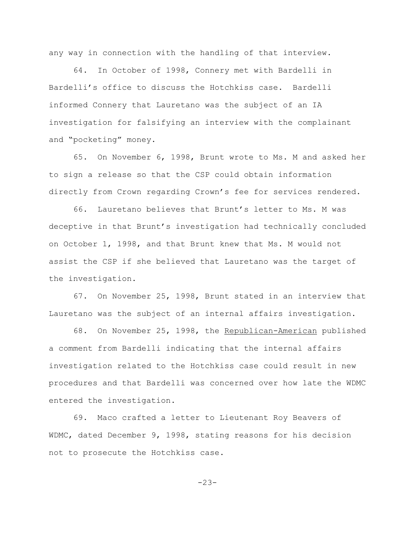any way in connection with the handling of that interview.

64. In October of 1998, Connery met with Bardelli in Bardelli's office to discuss the Hotchkiss case. Bardelli informed Connery that Lauretano was the subject of an IA investigation for falsifying an interview with the complainant and "pocketing" money.

65. On November 6, 1998, Brunt wrote to Ms. M and asked her to sign a release so that the CSP could obtain information directly from Crown regarding Crown's fee for services rendered.

66. Lauretano believes that Brunt's letter to Ms. M was deceptive in that Brunt's investigation had technically concluded on October 1, 1998, and that Brunt knew that Ms. M would not assist the CSP if she believed that Lauretano was the target of the investigation.

67. On November 25, 1998, Brunt stated in an interview that Lauretano was the subject of an internal affairs investigation.

68. On November 25, 1998, the Republican-American published a comment from Bardelli indicating that the internal affairs investigation related to the Hotchkiss case could result in new procedures and that Bardelli was concerned over how late the WDMC entered the investigation.

69. Maco crafted a letter to Lieutenant Roy Beavers of WDMC, dated December 9, 1998, stating reasons for his decision not to prosecute the Hotchkiss case.

-23-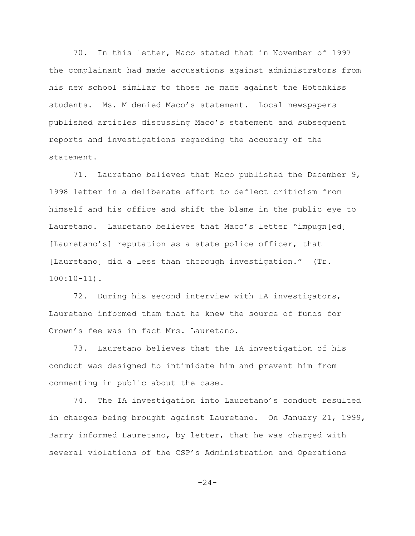70. In this letter, Maco stated that in November of 1997 the complainant had made accusations against administrators from his new school similar to those he made against the Hotchkiss students. Ms. M denied Maco's statement. Local newspapers published articles discussing Maco's statement and subsequent reports and investigations regarding the accuracy of the statement.

71. Lauretano believes that Maco published the December 9, 1998 letter in a deliberate effort to deflect criticism from himself and his office and shift the blame in the public eye to Lauretano. Lauretano believes that Maco's letter "impugn[ed] [Lauretano's] reputation as a state police officer, that [Lauretano] did a less than thorough investigation." (Tr. 100:10-11).

72. During his second interview with IA investigators, Lauretano informed them that he knew the source of funds for Crown's fee was in fact Mrs. Lauretano.

73. Lauretano believes that the IA investigation of his conduct was designed to intimidate him and prevent him from commenting in public about the case.

74. The IA investigation into Lauretano's conduct resulted in charges being brought against Lauretano. On January 21, 1999, Barry informed Lauretano, by letter, that he was charged with several violations of the CSP's Administration and Operations

 $-24-$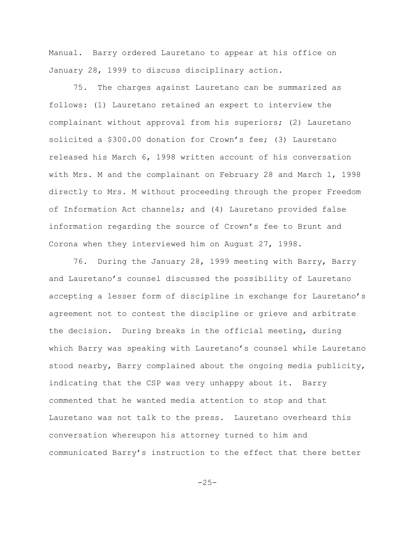Manual. Barry ordered Lauretano to appear at his office on January 28, 1999 to discuss disciplinary action.

75. The charges against Lauretano can be summarized as follows: (1) Lauretano retained an expert to interview the complainant without approval from his superiors; (2) Lauretano solicited a \$300.00 donation for Crown's fee; (3) Lauretano released his March 6, 1998 written account of his conversation with Mrs. M and the complainant on February 28 and March 1, 1998 directly to Mrs. M without proceeding through the proper Freedom of Information Act channels; and (4) Lauretano provided false information regarding the source of Crown's fee to Brunt and Corona when they interviewed him on August 27, 1998.

76. During the January 28, 1999 meeting with Barry, Barry and Lauretano's counsel discussed the possibility of Lauretano accepting a lesser form of discipline in exchange for Lauretano's agreement not to contest the discipline or grieve and arbitrate the decision. During breaks in the official meeting, during which Barry was speaking with Lauretano's counsel while Lauretano stood nearby, Barry complained about the ongoing media publicity, indicating that the CSP was very unhappy about it. Barry commented that he wanted media attention to stop and that Lauretano was not talk to the press. Lauretano overheard this conversation whereupon his attorney turned to him and communicated Barry's instruction to the effect that there better

 $-25-$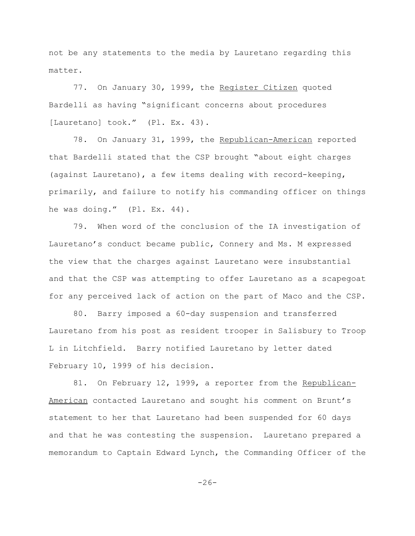not be any statements to the media by Lauretano regarding this matter.

77. On January 30, 1999, the Register Citizen quoted Bardelli as having "significant concerns about procedures [Lauretano] took." (Pl. Ex. 43).

78. On January 31, 1999, the Republican-American reported that Bardelli stated that the CSP brought "about eight charges (against Lauretano), a few items dealing with record-keeping, primarily, and failure to notify his commanding officer on things he was doing." (Pl. Ex. 44).

79. When word of the conclusion of the IA investigation of Lauretano's conduct became public, Connery and Ms. M expressed the view that the charges against Lauretano were insubstantial and that the CSP was attempting to offer Lauretano as a scapegoat for any perceived lack of action on the part of Maco and the CSP.

80. Barry imposed a 60-day suspension and transferred Lauretano from his post as resident trooper in Salisbury to Troop L in Litchfield. Barry notified Lauretano by letter dated February 10, 1999 of his decision.

81. On February 12, 1999, a reporter from the Republican-American contacted Lauretano and sought his comment on Brunt's statement to her that Lauretano had been suspended for 60 days and that he was contesting the suspension. Lauretano prepared a memorandum to Captain Edward Lynch, the Commanding Officer of the

 $-26-$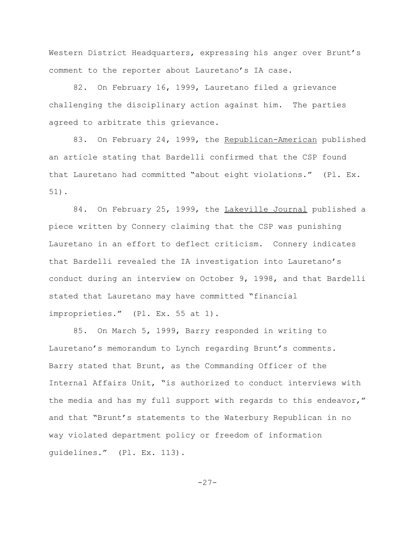Western District Headquarters, expressing his anger over Brunt's comment to the reporter about Lauretano's IA case.

82. On February 16, 1999, Lauretano filed a grievance challenging the disciplinary action against him. The parties agreed to arbitrate this grievance.

83. On February 24, 1999, the Republican-American published an article stating that Bardelli confirmed that the CSP found that Lauretano had committed "about eight violations." (Pl. Ex. 51).

84. On February 25, 1999, the Lakeville Journal published a piece written by Connery claiming that the CSP was punishing Lauretano in an effort to deflect criticism. Connery indicates that Bardelli revealed the IA investigation into Lauretano's conduct during an interview on October 9, 1998, and that Bardelli stated that Lauretano may have committed "financial improprieties." (Pl. Ex. 55 at 1).

85. On March 5, 1999, Barry responded in writing to Lauretano's memorandum to Lynch regarding Brunt's comments. Barry stated that Brunt, as the Commanding Officer of the Internal Affairs Unit, "is authorized to conduct interviews with the media and has my full support with regards to this endeavor," and that "Brunt's statements to the Waterbury Republican in no way violated department policy or freedom of information guidelines." (Pl. Ex. 113).

-27-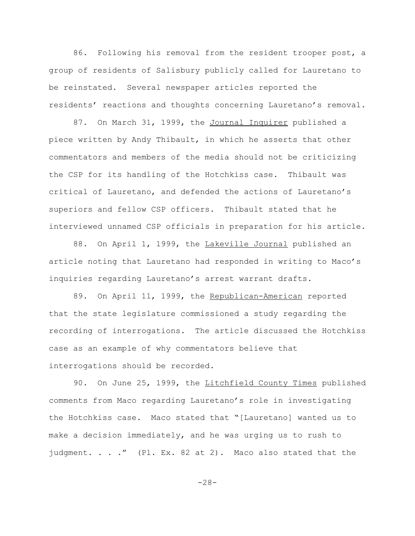86. Following his removal from the resident trooper post, a group of residents of Salisbury publicly called for Lauretano to be reinstated. Several newspaper articles reported the residents' reactions and thoughts concerning Lauretano's removal.

87. On March 31, 1999, the Journal Inquirer published a piece written by Andy Thibault, in which he asserts that other commentators and members of the media should not be criticizing the CSP for its handling of the Hotchkiss case. Thibault was critical of Lauretano, and defended the actions of Lauretano's superiors and fellow CSP officers. Thibault stated that he interviewed unnamed CSP officials in preparation for his article.

88. On April 1, 1999, the Lakeville Journal published an article noting that Lauretano had responded in writing to Maco's inquiries regarding Lauretano's arrest warrant drafts.

89. On April 11, 1999, the Republican-American reported that the state legislature commissioned a study regarding the recording of interrogations. The article discussed the Hotchkiss case as an example of why commentators believe that interrogations should be recorded.

90. On June 25, 1999, the Litchfield County Times published comments from Maco regarding Lauretano's role in investigating the Hotchkiss case. Maco stated that "[Lauretano] wanted us to make a decision immediately, and he was urging us to rush to judgment. . . ." (Pl. Ex. 82 at 2). Maco also stated that the

-28-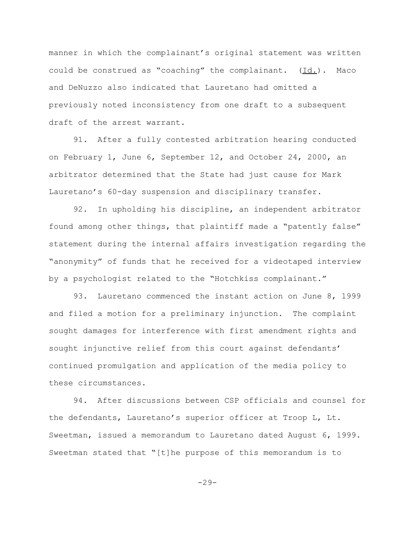manner in which the complainant's original statement was written could be construed as "coaching" the complainant.  $(\underline{Id.})$ . Maco and DeNuzzo also indicated that Lauretano had omitted a previously noted inconsistency from one draft to a subsequent draft of the arrest warrant.

91. After a fully contested arbitration hearing conducted on February 1, June 6, September 12, and October 24, 2000, an arbitrator determined that the State had just cause for Mark Lauretano's 60-day suspension and disciplinary transfer.

92. In upholding his discipline, an independent arbitrator found among other things, that plaintiff made a "patently false" statement during the internal affairs investigation regarding the "anonymity" of funds that he received for a videotaped interview by a psychologist related to the "Hotchkiss complainant."

93. Lauretano commenced the instant action on June 8, 1999 and filed a motion for a preliminary injunction. The complaint sought damages for interference with first amendment rights and sought injunctive relief from this court against defendants' continued promulgation and application of the media policy to these circumstances.

94. After discussions between CSP officials and counsel for the defendants, Lauretano's superior officer at Troop L, Lt. Sweetman, issued a memorandum to Lauretano dated August 6, 1999. Sweetman stated that "[t]he purpose of this memorandum is to

 $-29-$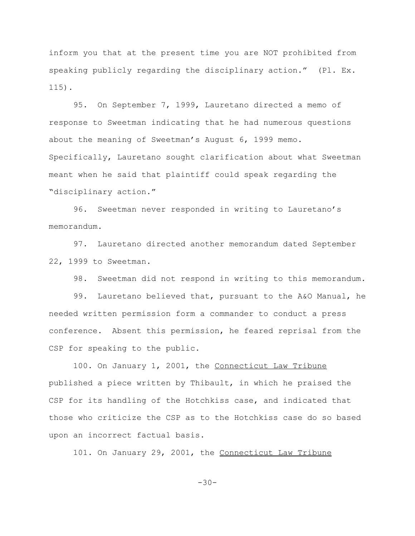inform you that at the present time you are NOT prohibited from speaking publicly regarding the disciplinary action." (Pl. Ex. 115).

95. On September 7, 1999, Lauretano directed a memo of response to Sweetman indicating that he had numerous questions about the meaning of Sweetman's August 6, 1999 memo. Specifically, Lauretano sought clarification about what Sweetman meant when he said that plaintiff could speak regarding the "disciplinary action."

96. Sweetman never responded in writing to Lauretano's memorandum.

97. Lauretano directed another memorandum dated September 22, 1999 to Sweetman.

98. Sweetman did not respond in writing to this memorandum.

99. Lauretano believed that, pursuant to the A&O Manual, he needed written permission form a commander to conduct a press conference. Absent this permission, he feared reprisal from the CSP for speaking to the public.

100. On January 1, 2001, the Connecticut Law Tribune published a piece written by Thibault, in which he praised the CSP for its handling of the Hotchkiss case, and indicated that those who criticize the CSP as to the Hotchkiss case do so based upon an incorrect factual basis.

101. On January 29, 2001, the Connecticut Law Tribune

-30-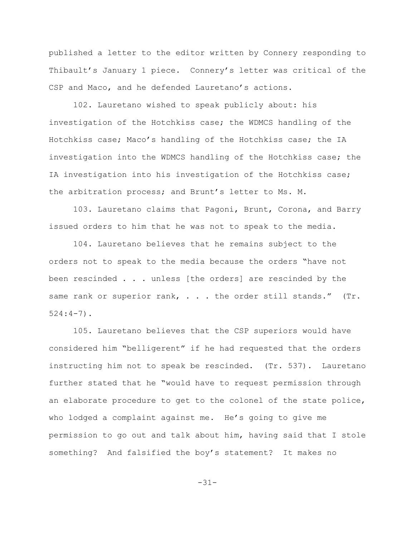published a letter to the editor written by Connery responding to Thibault's January 1 piece. Connery's letter was critical of the CSP and Maco, and he defended Lauretano's actions.

102. Lauretano wished to speak publicly about: his investigation of the Hotchkiss case; the WDMCS handling of the Hotchkiss case; Maco's handling of the Hotchkiss case; the IA investigation into the WDMCS handling of the Hotchkiss case; the IA investigation into his investigation of the Hotchkiss case; the arbitration process; and Brunt's letter to Ms. M.

103. Lauretano claims that Pagoni, Brunt, Corona, and Barry issued orders to him that he was not to speak to the media.

104. Lauretano believes that he remains subject to the orders not to speak to the media because the orders "have not been rescinded . . . unless [the orders] are rescinded by the same rank or superior rank, . . . the order still stands." (Tr. 524:4-7).

105. Lauretano believes that the CSP superiors would have considered him "belligerent" if he had requested that the orders instructing him not to speak be rescinded. (Tr. 537). Lauretano further stated that he "would have to request permission through an elaborate procedure to get to the colonel of the state police, who lodged a complaint against me. He's going to give me permission to go out and talk about him, having said that I stole something? And falsified the boy's statement? It makes no

-31-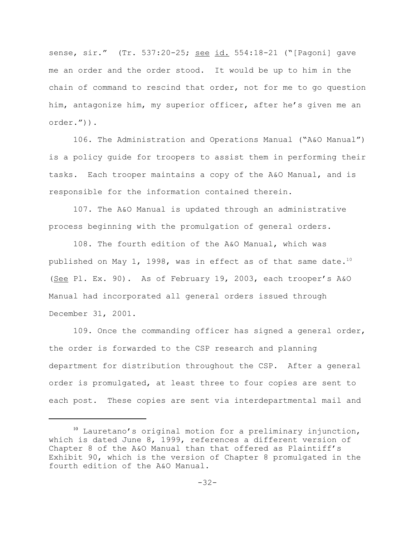sense, sir." (Tr. 537:20-25; see id. 554:18-21 ("[Pagoni] gave me an order and the order stood. It would be up to him in the chain of command to rescind that order, not for me to go question him, antagonize him, my superior officer, after he's given me an order.")).

106. The Administration and Operations Manual ("A&O Manual") is a policy guide for troopers to assist them in performing their tasks. Each trooper maintains a copy of the A&O Manual, and is responsible for the information contained therein.

107. The A&O Manual is updated through an administrative process beginning with the promulgation of general orders.

108. The fourth edition of the A&O Manual, which was published on May 1, 1998, was in effect as of that same date.<sup>10</sup> (See Pl. Ex. 90). As of February 19, 2003, each trooper's A&O Manual had incorporated all general orders issued through December 31, 2001.

109. Once the commanding officer has signed a general order, the order is forwarded to the CSP research and planning department for distribution throughout the CSP. After a general order is promulgated, at least three to four copies are sent to each post. These copies are sent via interdepartmental mail and

 $10$  Lauretano's original motion for a preliminary injunction, which is dated June 8, 1999, references a different version of Chapter 8 of the A&O Manual than that offered as Plaintiff's Exhibit 90, which is the version of Chapter 8 promulgated in the fourth edition of the A&O Manual.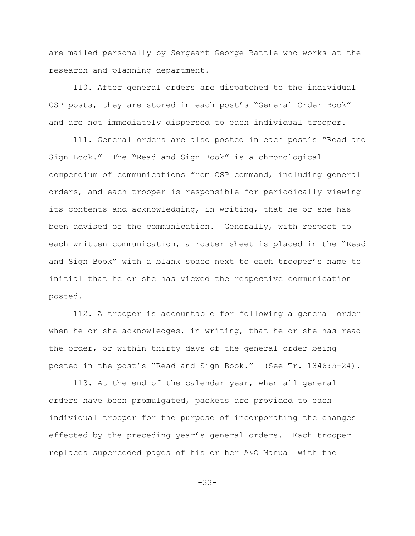are mailed personally by Sergeant George Battle who works at the research and planning department.

110. After general orders are dispatched to the individual CSP posts, they are stored in each post's "General Order Book" and are not immediately dispersed to each individual trooper.

111. General orders are also posted in each post's "Read and Sign Book." The "Read and Sign Book" is a chronological compendium of communications from CSP command, including general orders, and each trooper is responsible for periodically viewing its contents and acknowledging, in writing, that he or she has been advised of the communication. Generally, with respect to each written communication, a roster sheet is placed in the "Read and Sign Book" with a blank space next to each trooper's name to initial that he or she has viewed the respective communication posted.

112. A trooper is accountable for following a general order when he or she acknowledges, in writing, that he or she has read the order, or within thirty days of the general order being posted in the post's "Read and Sign Book." (See Tr. 1346:5-24).

113. At the end of the calendar year, when all general orders have been promulgated, packets are provided to each individual trooper for the purpose of incorporating the changes effected by the preceding year's general orders. Each trooper replaces superceded pages of his or her A&O Manual with the

-33-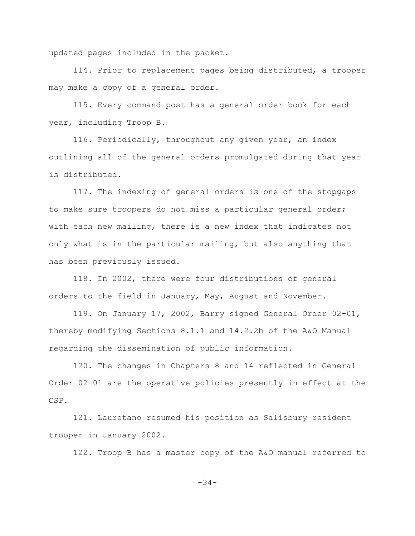updated pages included in the packet.

114. Prior to replacement pages being distributed, a trooper may make a copy of a general order.

115. Every command post has a general order book for each year, including Troop B.

116. Periodically, throughout any given year, an index outlining all of the general orders promulgated during that year is distributed.

117. The indexing of general orders is one of the stopgaps to make sure troopers do not miss a particular general order; with each new mailing, there is a new index that indicates not only what is in the particular mailing, but also anything that has been previously issued.

118. In 2002, there were four distributions of general orders to the field in January, May, August and November.

119. On January 17, 2002, Barry signed General Order 02-01, thereby modifying Sections 8.1.1 and 14.2.2b of the A&O Manual regarding the dissemination of public information.

120. The changes in Chapters 8 and 14 reflected in General Order 02-01 are the operative policies presently in effect at the CSP.

121. Lauretano resumed his position as Salisbury resident trooper in January 2002.

122. Troop B has a master copy of the A&O manual referred to

 $-34-$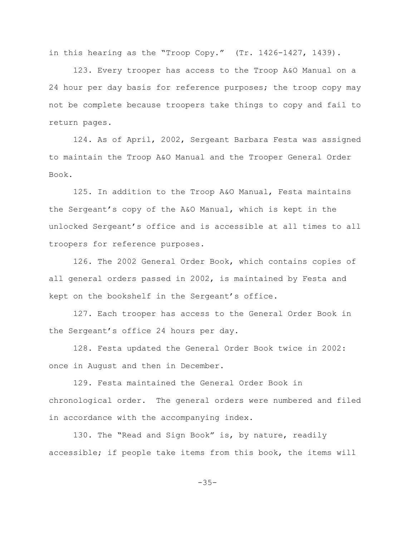in this hearing as the "Troop Copy." (Tr. 1426-1427, 1439).

123. Every trooper has access to the Troop A&O Manual on a 24 hour per day basis for reference purposes; the troop copy may not be complete because troopers take things to copy and fail to return pages.

124. As of April, 2002, Sergeant Barbara Festa was assigned to maintain the Troop A&O Manual and the Trooper General Order Book.

125. In addition to the Troop A&O Manual, Festa maintains the Sergeant's copy of the A&O Manual, which is kept in the unlocked Sergeant's office and is accessible at all times to all troopers for reference purposes.

126. The 2002 General Order Book, which contains copies of all general orders passed in 2002, is maintained by Festa and kept on the bookshelf in the Sergeant's office.

127. Each trooper has access to the General Order Book in the Sergeant's office 24 hours per day.

128. Festa updated the General Order Book twice in 2002: once in August and then in December.

129. Festa maintained the General Order Book in chronological order. The general orders were numbered and filed in accordance with the accompanying index.

130. The "Read and Sign Book" is, by nature, readily accessible; if people take items from this book, the items will

-35-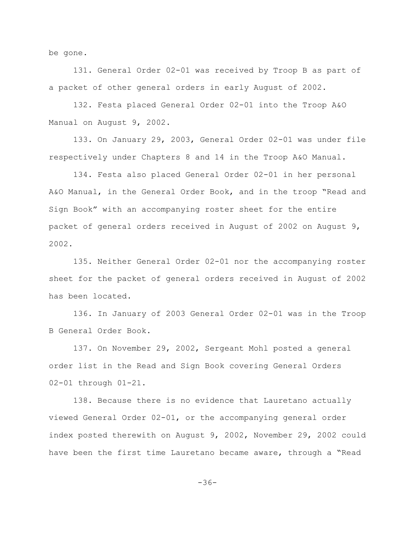be gone.

131. General Order 02-01 was received by Troop B as part of a packet of other general orders in early August of 2002.

132. Festa placed General Order 02-01 into the Troop A&O Manual on August 9, 2002.

133. On January 29, 2003, General Order 02-01 was under file respectively under Chapters 8 and 14 in the Troop A&O Manual.

134. Festa also placed General Order 02-01 in her personal A&O Manual, in the General Order Book, and in the troop "Read and Sign Book" with an accompanying roster sheet for the entire packet of general orders received in August of 2002 on August 9, 2002.

135. Neither General Order 02-01 nor the accompanying roster sheet for the packet of general orders received in August of 2002 has been located.

136. In January of 2003 General Order 02-01 was in the Troop B General Order Book.

137. On November 29, 2002, Sergeant Mohl posted a general order list in the Read and Sign Book covering General Orders 02-01 through 01-21.

138. Because there is no evidence that Lauretano actually viewed General Order 02-01, or the accompanying general order index posted therewith on August 9, 2002, November 29, 2002 could have been the first time Lauretano became aware, through a "Read

-36-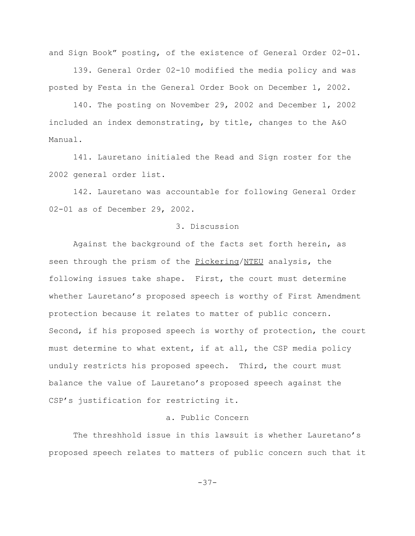and Sign Book" posting, of the existence of General Order 02-01.

139. General Order 02-10 modified the media policy and was posted by Festa in the General Order Book on December 1, 2002.

140. The posting on November 29, 2002 and December 1, 2002 included an index demonstrating, by title, changes to the A&O Manual.

141. Lauretano initialed the Read and Sign roster for the 2002 general order list.

142. Lauretano was accountable for following General Order 02-01 as of December 29, 2002.

#### 3. Discussion

Against the background of the facts set forth herein, as seen through the prism of the Pickering/NTEU analysis, the following issues take shape. First, the court must determine whether Lauretano's proposed speech is worthy of First Amendment protection because it relates to matter of public concern. Second, if his proposed speech is worthy of protection, the court must determine to what extent, if at all, the CSP media policy unduly restricts his proposed speech. Third, the court must balance the value of Lauretano's proposed speech against the CSP's justification for restricting it.

# a. Public Concern

The threshhold issue in this lawsuit is whether Lauretano's proposed speech relates to matters of public concern such that it

-37-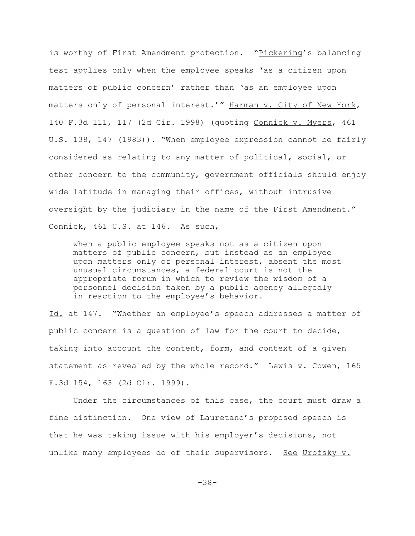is worthy of First Amendment protection. "Pickering's balancing test applies only when the employee speaks 'as a citizen upon matters of public concern' rather than 'as an employee upon matters only of personal interest.'" Harman v. City of New York, 140 F.3d 111, 117 (2d Cir. 1998) (quoting Connick v. Myers, 461 U.S. 138, 147 (1983)). "When employee expression cannot be fairly considered as relating to any matter of political, social, or other concern to the community, government officials should enjoy wide latitude in managing their offices, without intrusive oversight by the judiciary in the name of the First Amendment." Connick, 461 U.S. at 146. As such,

when a public employee speaks not as a citizen upon matters of public concern, but instead as an employee upon matters only of personal interest, absent the most unusual circumstances, a federal court is not the appropriate forum in which to review the wisdom of a personnel decision taken by a public agency allegedly in reaction to the employee's behavior.

Id. at 147. "Whether an employee's speech addresses a matter of public concern is a question of law for the court to decide, taking into account the content, form, and context of a given statement as revealed by the whole record." Lewis v. Cowen, 165 F.3d 154, 163 (2d Cir. 1999).

Under the circumstances of this case, the court must draw a fine distinction. One view of Lauretano's proposed speech is that he was taking issue with his employer's decisions, not unlike many employees do of their supervisors. See Urofsky v.

-38-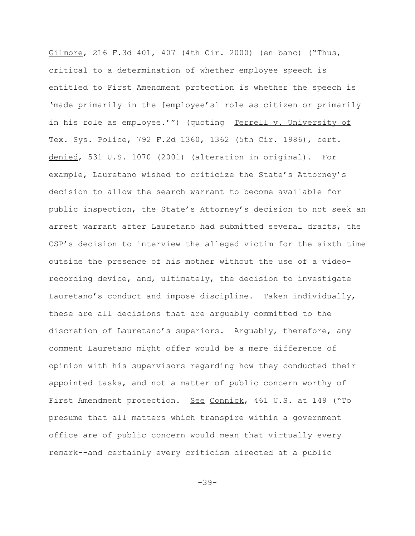Gilmore, 216 F.3d 401, 407 (4th Cir. 2000) (en banc) ("Thus, critical to a determination of whether employee speech is entitled to First Amendment protection is whether the speech is 'made primarily in the [employee's] role as citizen or primarily in his role as employee.'") (quoting Terrell v. University of Tex. Sys. Police, 792 F.2d 1360, 1362 (5th Cir. 1986), cert. denied, 531 U.S. 1070 (2001) (alteration in original). For example, Lauretano wished to criticize the State's Attorney's decision to allow the search warrant to become available for public inspection, the State's Attorney's decision to not seek an arrest warrant after Lauretano had submitted several drafts, the CSP's decision to interview the alleged victim for the sixth time outside the presence of his mother without the use of a videorecording device, and, ultimately, the decision to investigate Lauretano's conduct and impose discipline. Taken individually, these are all decisions that are arguably committed to the discretion of Lauretano's superiors. Arguably, therefore, any comment Lauretano might offer would be a mere difference of opinion with his supervisors regarding how they conducted their appointed tasks, and not a matter of public concern worthy of First Amendment protection. See Connick, 461 U.S. at 149 ("To presume that all matters which transpire within a government office are of public concern would mean that virtually every remark--and certainly every criticism directed at a public

-39-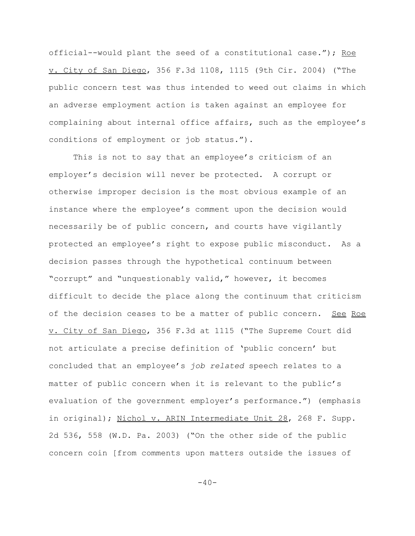official--would plant the seed of a constitutional case."); Roe v. City of San Diego, 356 F.3d 1108, 1115 (9th Cir. 2004) ("The public concern test was thus intended to weed out claims in which an adverse employment action is taken against an employee for complaining about internal office affairs, such as the employee's conditions of employment or job status.").

This is not to say that an employee's criticism of an employer's decision will never be protected. A corrupt or otherwise improper decision is the most obvious example of an instance where the employee's comment upon the decision would necessarily be of public concern, and courts have vigilantly protected an employee's right to expose public misconduct. As a decision passes through the hypothetical continuum between "corrupt" and "unquestionably valid," however, it becomes difficult to decide the place along the continuum that criticism of the decision ceases to be a matter of public concern. See Roe v. City of San Diego, 356 F.3d at 1115 ("The Supreme Court did not articulate a precise definition of 'public concern' but concluded that an employee's *job related* speech relates to a matter of public concern when it is relevant to the public's evaluation of the government employer's performance.") (emphasis in original); Nichol v. ARIN Intermediate Unit 28, 268 F. Supp. 2d 536, 558 (W.D. Pa. 2003) ("On the other side of the public concern coin [from comments upon matters outside the issues of

 $-40-$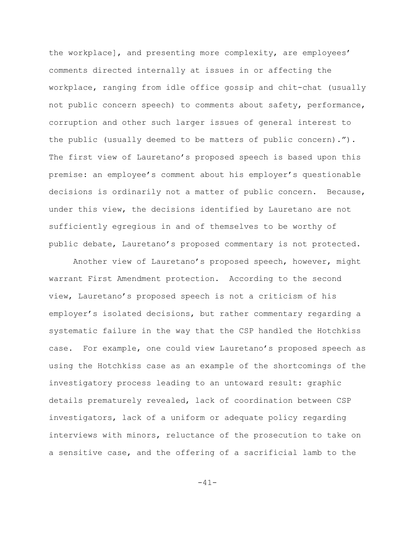the workplace], and presenting more complexity, are employees' comments directed internally at issues in or affecting the workplace, ranging from idle office gossip and chit-chat (usually not public concern speech) to comments about safety, performance, corruption and other such larger issues of general interest to the public (usually deemed to be matters of public concern)."). The first view of Lauretano's proposed speech is based upon this premise: an employee's comment about his employer's questionable decisions is ordinarily not a matter of public concern. Because, under this view, the decisions identified by Lauretano are not sufficiently egregious in and of themselves to be worthy of public debate, Lauretano's proposed commentary is not protected.

Another view of Lauretano's proposed speech, however, might warrant First Amendment protection. According to the second view, Lauretano's proposed speech is not a criticism of his employer's isolated decisions, but rather commentary regarding a systematic failure in the way that the CSP handled the Hotchkiss case. For example, one could view Lauretano's proposed speech as using the Hotchkiss case as an example of the shortcomings of the investigatory process leading to an untoward result: graphic details prematurely revealed, lack of coordination between CSP investigators, lack of a uniform or adequate policy regarding interviews with minors, reluctance of the prosecution to take on a sensitive case, and the offering of a sacrificial lamb to the

-41-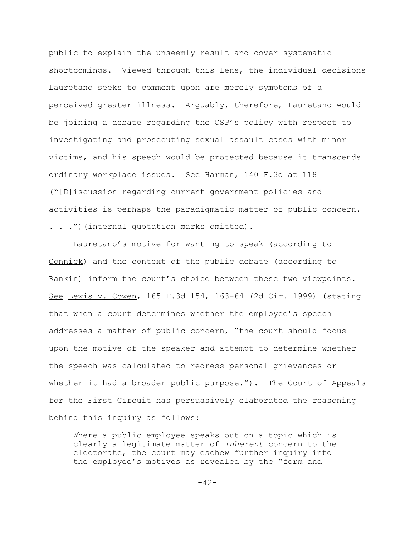public to explain the unseemly result and cover systematic shortcomings. Viewed through this lens, the individual decisions Lauretano seeks to comment upon are merely symptoms of a perceived greater illness. Arguably, therefore, Lauretano would be joining a debate regarding the CSP's policy with respect to investigating and prosecuting sexual assault cases with minor victims, and his speech would be protected because it transcends ordinary workplace issues. See Harman, 140 F.3d at 118 ("[D]iscussion regarding current government policies and activities is perhaps the paradigmatic matter of public concern. . . .") (internal quotation marks omitted).

Lauretano's motive for wanting to speak (according to Connick) and the context of the public debate (according to Rankin) inform the court's choice between these two viewpoints. See Lewis v. Cowen, 165 F.3d 154, 163-64 (2d Cir. 1999) (stating that when a court determines whether the employee's speech addresses a matter of public concern, "the court should focus upon the motive of the speaker and attempt to determine whether the speech was calculated to redress personal grievances or whether it had a broader public purpose."). The Court of Appeals for the First Circuit has persuasively elaborated the reasoning behind this inquiry as follows:

Where a public employee speaks out on a topic which is clearly a legitimate matter of *inherent* concern to the electorate, the court may eschew further inquiry into the employee's motives as revealed by the "form and

 $-42-$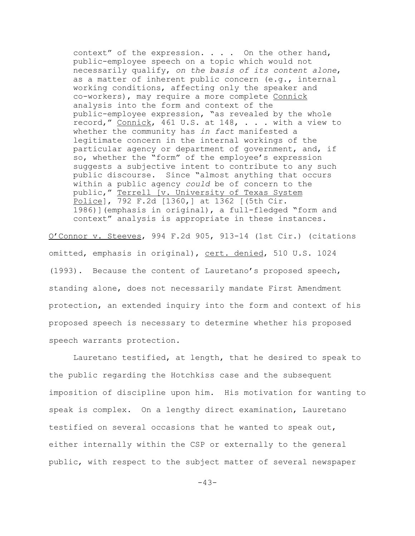context" of the expression. . . . On the other hand, public-employee speech on a topic which would not necessarily qualify, *on the basis of its content alone*, as a matter of inherent public concern (e.g., internal working conditions, affecting only the speaker and co-workers), may require a more complete Connick analysis into the form and context of the public-employee expression, "as revealed by the whole record," Connick, 461 U.S. at 148, . . . with a view to whether the community has *in fact* manifested a legitimate concern in the internal workings of the particular agency or department of government, and, if so, whether the "form" of the employee's expression suggests a subjective intent to contribute to any such public discourse. Since "almost anything that occurs within a public agency *could* be of concern to the public," Terrell [v. University of Texas System Police], 792 F.2d [1360,] at 1362 [(5th Cir. 1986)](emphasis in original), a full-fledged "form and context" analysis is appropriate in these instances.

O'Connor v. Steeves, 994 F.2d 905, 913-14 (1st Cir.) (citations omitted, emphasis in original), cert. denied, 510 U.S. 1024 (1993). Because the content of Lauretano's proposed speech, standing alone, does not necessarily mandate First Amendment protection, an extended inquiry into the form and context of his proposed speech is necessary to determine whether his proposed speech warrants protection.

Lauretano testified, at length, that he desired to speak to the public regarding the Hotchkiss case and the subsequent imposition of discipline upon him. His motivation for wanting to speak is complex. On a lengthy direct examination, Lauretano testified on several occasions that he wanted to speak out, either internally within the CSP or externally to the general public, with respect to the subject matter of several newspaper

 $-43-$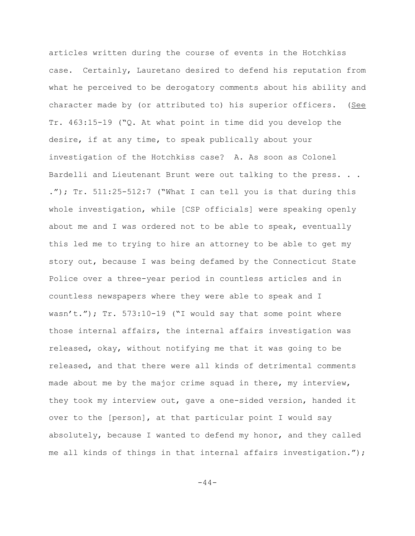articles written during the course of events in the Hotchkiss case. Certainly, Lauretano desired to defend his reputation from what he perceived to be derogatory comments about his ability and character made by (or attributed to) his superior officers. (See Tr. 463:15-19 ("Q. At what point in time did you develop the desire, if at any time, to speak publically about your investigation of the Hotchkiss case? A. As soon as Colonel Bardelli and Lieutenant Brunt were out talking to the press. . . ."); Tr. 511:25-512:7 ("What I can tell you is that during this whole investigation, while [CSP officials] were speaking openly about me and I was ordered not to be able to speak, eventually this led me to trying to hire an attorney to be able to get my story out, because I was being defamed by the Connecticut State Police over a three-year period in countless articles and in countless newspapers where they were able to speak and I wasn't."); Tr. 573:10-19 ("I would say that some point where those internal affairs, the internal affairs investigation was released, okay, without notifying me that it was going to be released, and that there were all kinds of detrimental comments made about me by the major crime squad in there, my interview, they took my interview out, gave a one-sided version, handed it over to the [person], at that particular point I would say absolutely, because I wanted to defend my honor, and they called me all kinds of things in that internal affairs investigation.");

 $-44-$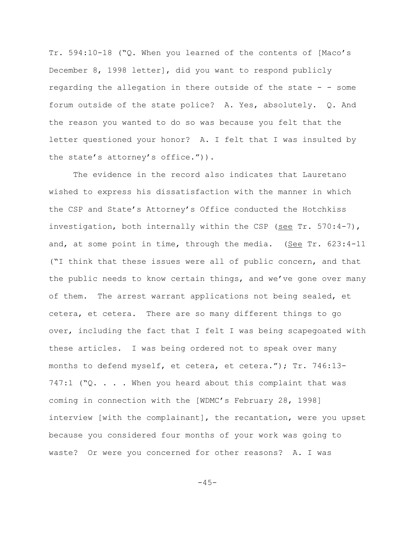Tr. 594:10-18 ("Q. When you learned of the contents of [Maco's December 8, 1998 letter], did you want to respond publicly regarding the allegation in there outside of the state - - some forum outside of the state police? A. Yes, absolutely. Q. And the reason you wanted to do so was because you felt that the letter questioned your honor? A. I felt that I was insulted by the state's attorney's office.")).

The evidence in the record also indicates that Lauretano wished to express his dissatisfaction with the manner in which the CSP and State's Attorney's Office conducted the Hotchkiss investigation, both internally within the CSP (see Tr. 570:4-7), and, at some point in time, through the media. (See Tr. 623:4-11 ("I think that these issues were all of public concern, and that the public needs to know certain things, and we've gone over many of them. The arrest warrant applications not being sealed, et cetera, et cetera. There are so many different things to go over, including the fact that I felt I was being scapegoated with these articles. I was being ordered not to speak over many months to defend myself, et cetera, et cetera."); Tr. 746:13-  $747:1$  ( $^{\circ}$ Q. . . . When you heard about this complaint that was coming in connection with the [WDMC's February 28, 1998] interview [with the complainant], the recantation, were you upset because you considered four months of your work was going to waste? Or were you concerned for other reasons? A. I was

 $-45-$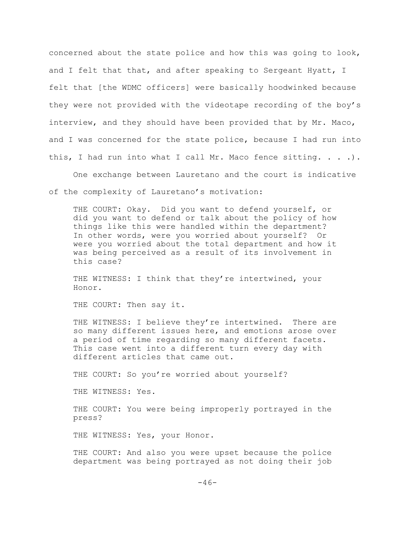concerned about the state police and how this was going to look, and I felt that that, and after speaking to Sergeant Hyatt, I felt that [the WDMC officers] were basically hoodwinked because they were not provided with the videotape recording of the boy's interview, and they should have been provided that by Mr. Maco, and I was concerned for the state police, because I had run into this, I had run into what I call Mr. Maco fence sitting.  $\ldots$ .

One exchange between Lauretano and the court is indicative

of the complexity of Lauretano's motivation:

THE COURT: Okay. Did you want to defend yourself, or did you want to defend or talk about the policy of how things like this were handled within the department? In other words, were you worried about yourself? Or were you worried about the total department and how it was being perceived as a result of its involvement in this case?

THE WITNESS: I think that they're intertwined, your Honor.

THE COURT: Then say it.

THE WITNESS: I believe they're intertwined. There are so many different issues here, and emotions arose over a period of time regarding so many different facets. This case went into a different turn every day with different articles that came out.

THE COURT: So you're worried about yourself?

THE WITNESS: Yes.

THE COURT: You were being improperly portrayed in the press?

THE WITNESS: Yes, your Honor.

THE COURT: And also you were upset because the police department was being portrayed as not doing their job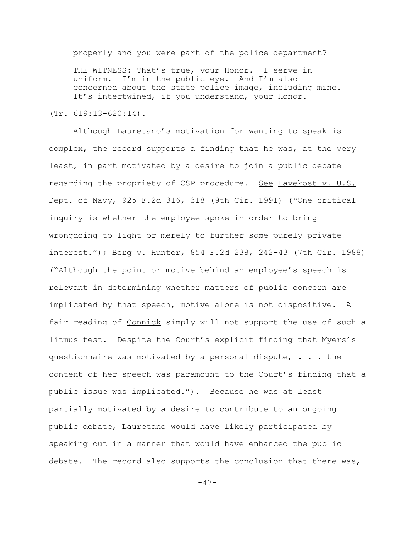properly and you were part of the police department?

THE WITNESS: That's true, your Honor. I serve in uniform. I'm in the public eye. And I'm also concerned about the state police image, including mine. It's intertwined, if you understand, your Honor.

(Tr. 619:13-620:14).

Although Lauretano's motivation for wanting to speak is complex, the record supports a finding that he was, at the very least, in part motivated by a desire to join a public debate regarding the propriety of CSP procedure. See Havekost v. U.S. Dept. of Navy, 925 F.2d 316, 318 (9th Cir. 1991) ("One critical inquiry is whether the employee spoke in order to bring wrongdoing to light or merely to further some purely private interest."); Berg v. Hunter, 854 F.2d 238, 242-43 (7th Cir. 1988) ("Although the point or motive behind an employee's speech is relevant in determining whether matters of public concern are implicated by that speech, motive alone is not dispositive. A fair reading of Connick simply will not support the use of such a litmus test. Despite the Court's explicit finding that Myers's questionnaire was motivated by a personal dispute, . . . the content of her speech was paramount to the Court's finding that a public issue was implicated."). Because he was at least partially motivated by a desire to contribute to an ongoing public debate, Lauretano would have likely participated by speaking out in a manner that would have enhanced the public debate. The record also supports the conclusion that there was,

 $-47-$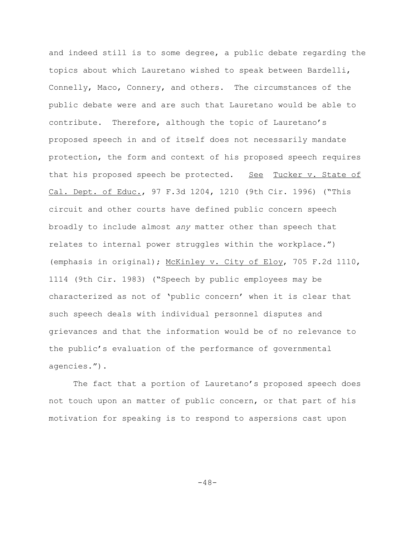and indeed still is to some degree, a public debate regarding the topics about which Lauretano wished to speak between Bardelli, Connelly, Maco, Connery, and others. The circumstances of the public debate were and are such that Lauretano would be able to contribute. Therefore, although the topic of Lauretano's proposed speech in and of itself does not necessarily mandate protection, the form and context of his proposed speech requires that his proposed speech be protected. See Tucker v. State of Cal. Dept. of Educ., 97 F.3d 1204, 1210 (9th Cir. 1996) ("This circuit and other courts have defined public concern speech broadly to include almost *any* matter other than speech that relates to internal power struggles within the workplace.") (emphasis in original); McKinley v. City of Eloy, 705 F.2d 1110, 1114 (9th Cir. 1983) ("Speech by public employees may be characterized as not of 'public concern' when it is clear that such speech deals with individual personnel disputes and grievances and that the information would be of no relevance to the public's evaluation of the performance of governmental agencies.").

The fact that a portion of Lauretano's proposed speech does not touch upon an matter of public concern, or that part of his motivation for speaking is to respond to aspersions cast upon

-48-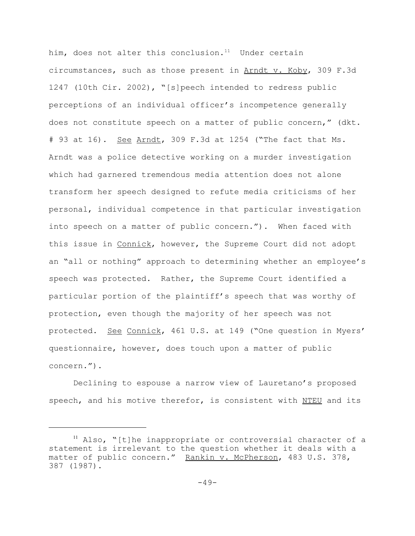him, does not alter this conclusion. $11$  Under certain circumstances, such as those present in Arndt v. Koby, 309 F.3d 1247 (10th Cir. 2002), "[s]peech intended to redress public perceptions of an individual officer's incompetence generally does not constitute speech on a matter of public concern," (dkt. # 93 at 16). See Arndt, 309 F.3d at 1254 ("The fact that Ms. Arndt was a police detective working on a murder investigation which had garnered tremendous media attention does not alone transform her speech designed to refute media criticisms of her personal, individual competence in that particular investigation into speech on a matter of public concern."). When faced with this issue in Connick, however, the Supreme Court did not adopt an "all or nothing" approach to determining whether an employee's speech was protected. Rather, the Supreme Court identified a particular portion of the plaintiff's speech that was worthy of protection, even though the majority of her speech was not protected. See Connick, 461 U.S. at 149 ("One question in Myers' questionnaire, however, does touch upon a matter of public concern.").

Declining to espouse a narrow view of Lauretano's proposed speech, and his motive therefor, is consistent with NTEU and its

<sup>&</sup>lt;sup>11</sup> Also, "[t]he inappropriate or controversial character of a statement is irrelevant to the question whether it deals with a matter of public concern." Rankin v. McPherson, 483 U.S. 378, 387 (1987).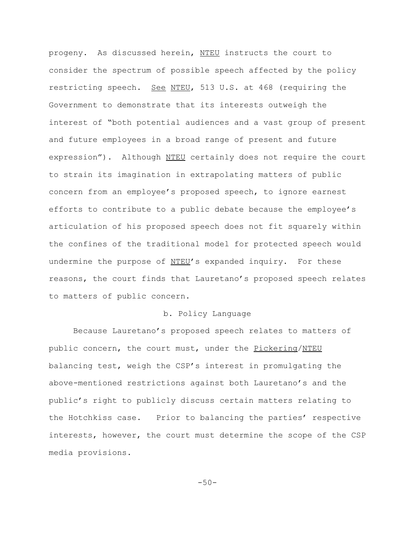progeny. As discussed herein, NTEU instructs the court to consider the spectrum of possible speech affected by the policy restricting speech. See NTEU, 513 U.S. at 468 (requiring the Government to demonstrate that its interests outweigh the interest of "both potential audiences and a vast group of present and future employees in a broad range of present and future expression"). Although NTEU certainly does not require the court to strain its imagination in extrapolating matters of public concern from an employee's proposed speech, to ignore earnest efforts to contribute to a public debate because the employee's articulation of his proposed speech does not fit squarely within the confines of the traditional model for protected speech would undermine the purpose of NTEU's expanded inquiry. For these reasons, the court finds that Lauretano's proposed speech relates to matters of public concern.

## b. Policy Language

Because Lauretano's proposed speech relates to matters of public concern, the court must, under the Pickering/NTEU balancing test, weigh the CSP's interest in promulgating the above-mentioned restrictions against both Lauretano's and the public's right to publicly discuss certain matters relating to the Hotchkiss case. Prior to balancing the parties' respective interests, however, the court must determine the scope of the CSP media provisions.

 $-50-$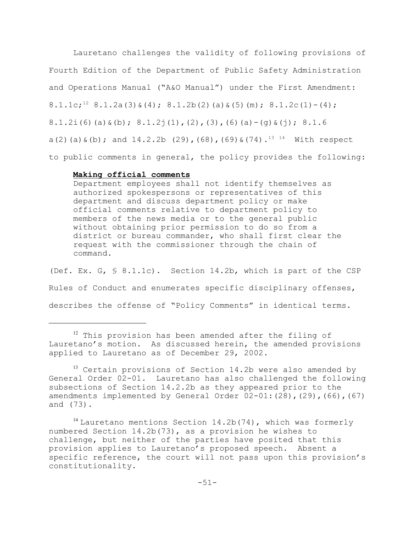Lauretano challenges the validity of following provisions of Fourth Edition of the Department of Public Safety Administration and Operations Manual ("A&O Manual") under the First Amendment: 8.1.1c;<sup>12</sup> 8.1.2a(3)  $\&(4)$ ; 8.1.2b(2)(a)  $\&(5)$  (m); 8.1.2c(1) - (4); 8.1.2i(6)(a)  $\&$  (b); 8.1.2j(1),(2),(3),(6)(a)-(g)  $\&$  (j); 8.1.6 a(2)(a)  $\&$  (b); and 14.2.2b (29),(68),(69)  $\&$  (74).<sup>13 14</sup> With respect to public comments in general, the policy provides the following:

## **Making official comments**

Department employees shall not identify themselves as authorized spokespersons or representatives of this department and discuss department policy or make official comments relative to department policy to members of the news media or to the general public without obtaining prior permission to do so from a district or bureau commander, who shall first clear the request with the commissioner through the chain of command.

(Def. Ex. G, § 8.1.1c). Section 14.2b, which is part of the CSP Rules of Conduct and enumerates specific disciplinary offenses, describes the offense of "Policy Comments" in identical terms.

 $12$  This provision has been amended after the filing of Lauretano's motion. As discussed herein, the amended provisions applied to Lauretano as of December 29, 2002.

<sup>&</sup>lt;sup>13</sup> Certain provisions of Section 14.2b were also amended by General Order 02-01. Lauretano has also challenged the following subsections of Section 14.2.2b as they appeared prior to the amendments implemented by General Order  $02-01$ : (28), (29), (66), (67) and (73).

 $14$  Lauretano mentions Section 14.2b(74), which was formerly numbered Section 14.2b(73), as a provision he wishes to challenge, but neither of the parties have posited that this provision applies to Lauretano's proposed speech. Absent a specific reference, the court will not pass upon this provision's constitutionality.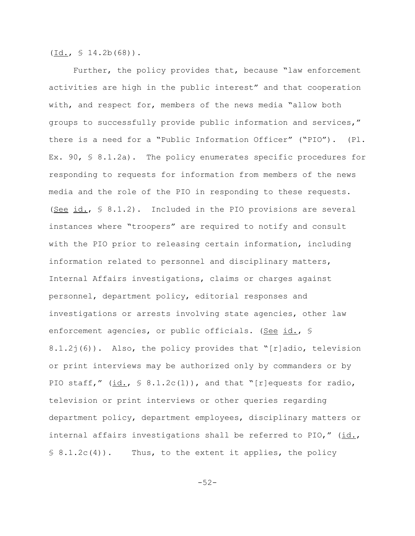$(\text{Id.}, \text{ } \text{\textless}\textless 14.2b(68))$ .

Further, the policy provides that, because "law enforcement activities are high in the public interest" and that cooperation with, and respect for, members of the news media "allow both groups to successfully provide public information and services," there is a need for a "Public Information Officer" ("PIO"). (Pl. Ex. 90,  $\frac{1}{2}$  8.1.2a). The policy enumerates specific procedures for responding to requests for information from members of the news media and the role of the PIO in responding to these requests. (See id.,  $\frac{1}{2}$  8.1.2). Included in the PIO provisions are several instances where "troopers" are required to notify and consult with the PIO prior to releasing certain information, including information related to personnel and disciplinary matters, Internal Affairs investigations, claims or charges against personnel, department policy, editorial responses and investigations or arrests involving state agencies, other law enforcement agencies, or public officials. (See id., § 8.1.2j(6)). Also, the policy provides that "[r]adio, television or print interviews may be authorized only by commanders or by PIO staff,"  $(id., \S 8.1.2c(1))$ , and that "[r]equests for radio, television or print interviews or other queries regarding department policy, department employees, disciplinary matters or internal affairs investigations shall be referred to PIO," (id.,  $\S$  8.1.2c(4)). Thus, to the extent it applies, the policy

-52-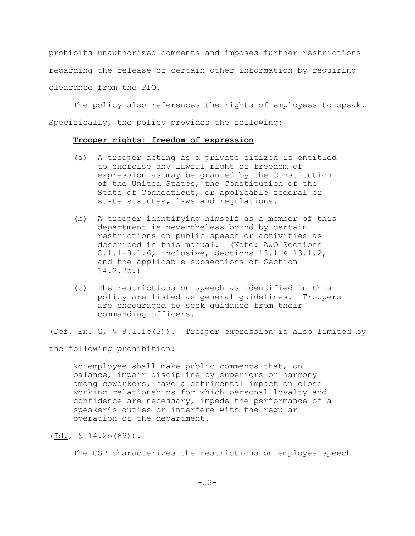prohibits unauthorized comments and imposes further restrictions regarding the release of certain other information by requiring clearance from the PIO.

The policy also references the rights of employees to speak. Specifically, the policy provides the following:

#### **Trooper rights: freedom of expression**

- (a) A trooper acting as a private citizen is entitled to exercise any lawful right of freedom of expression as may be granted by the Constitution of the United States, the Constitution of the State of Connecticut, or applicable federal or state statutes, laws and regulations.
- (b) A trooper identifying himself as a member of this department is nevertheless bound by certain restrictions on public speech or activities as described in this manual. (Note: A&O Sections 8.1.1-8.1.6, inclusive, Sections 13.1 & 13.1.2, and the applicable subsections of Section 14.2.2b.)
- (c) The restrictions on speech as identified in this policy are listed as general guidelines. Troopers are encouraged to seek guidance from their commanding officers.

(Def. Ex. G, § 8.1.1c(3)). Trooper expression is also limited by

the following prohibition:

No employee shall make public comments that, on balance, impair discipline by superiors or harmony among coworkers, have a detrimental impact on close working relationships for which personal loyalty and confidence are necessary, impede the performance of a speaker's duties or interfere with the regular operation of the department.

The CSP characterizes the restrictions on employee speech

 $(\underline{Id.} \, , \, \S 14.2b(69))$ .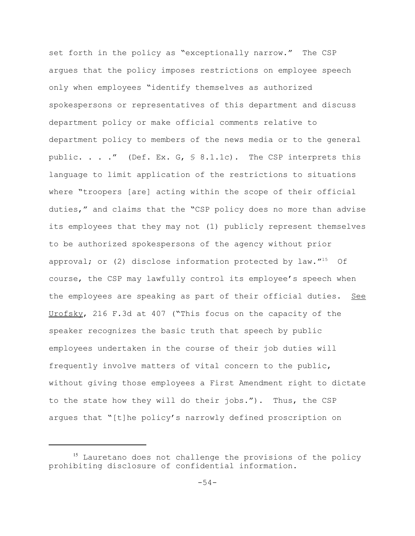set forth in the policy as "exceptionally narrow." The CSP argues that the policy imposes restrictions on employee speech only when employees "identify themselves as authorized spokespersons or representatives of this department and discuss department policy or make official comments relative to department policy to members of the news media or to the general public. . . ." (Def. Ex. G,  $\frac{1}{2}$  8.1.1c). The CSP interprets this language to limit application of the restrictions to situations where "troopers [are] acting within the scope of their official duties," and claims that the "CSP policy does no more than advise its employees that they may not (1) publicly represent themselves to be authorized spokespersons of the agency without prior approval; or (2) disclose information protected by  $law.^{n_{15}}$  Of course, the CSP may lawfully control its employee's speech when the employees are speaking as part of their official duties. See Urofsky, 216 F.3d at 407 ("This focus on the capacity of the speaker recognizes the basic truth that speech by public employees undertaken in the course of their job duties will frequently involve matters of vital concern to the public, without giving those employees a First Amendment right to dictate to the state how they will do their jobs."). Thus, the CSP argues that "[t]he policy's narrowly defined proscription on

<sup>&</sup>lt;sup>15</sup> Lauretano does not challenge the provisions of the policy prohibiting disclosure of confidential information.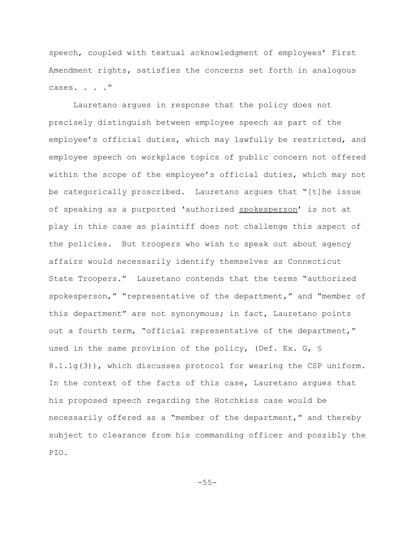speech, coupled with textual acknowledgment of employees' First Amendment rights, satisfies the concerns set forth in analogous cases. . . ."

Lauretano argues in response that the policy does not precisely distinguish between employee speech as part of the employee's official duties, which may lawfully be restricted, and employee speech on workplace topics of public concern not offered within the scope of the employee's official duties, which may not be categorically proscribed. Lauretano argues that "[t]he issue of speaking as a purported 'authorized spokesperson' is not at play in this case as plaintiff does not challenge this aspect of the policies. But troopers who wish to speak out about agency affairs would necessarily identify themselves as Connecticut State Troopers." Lauretano contends that the terms "authorized spokesperson," "representative of the department," and "member of this department" are not synonymous; in fact, Lauretano points out a fourth term, "official representative of the department," used in the same provision of the policy, (Def. Ex. G, § 8.1.1g(3)), which discusses protocol for wearing the CSP uniform. In the context of the facts of this case, Lauretano argues that his proposed speech regarding the Hotchkiss case would be necessarily offered as a "member of the department," and thereby subject to clearance from his commanding officer and possibly the PIO.

-55-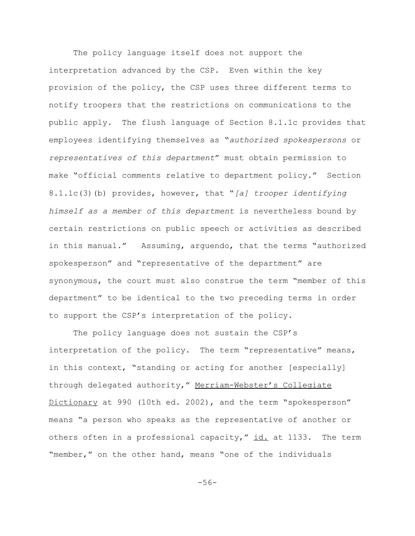The policy language itself does not support the interpretation advanced by the CSP. Even within the key provision of the policy, the CSP uses three different terms to notify troopers that the restrictions on communications to the public apply. The flush language of Section 8.1.1c provides that employees identifying themselves as "*authorized spokespersons* or *representatives of this department*" must obtain permission to make "official comments relative to department policy." Section 8.1.1c(3)(b) provides, however, that "*[a] trooper identifying himself as a member of this department* is nevertheless bound by certain restrictions on public speech or activities as described in this manual." Assuming, arguendo, that the terms "authorized spokesperson" and "representative of the department" are synonymous, the court must also construe the term "member of this department" to be identical to the two preceding terms in order to support the CSP's interpretation of the policy.

The policy language does not sustain the CSP's interpretation of the policy. The term "representative" means, in this context, "standing or acting for another [especially] through delegated authority," Merriam-Webster's Collegiate Dictionary at 990 (10th ed. 2002), and the term "spokesperson" means "a person who speaks as the representative of another or others often in a professional capacity," id. at 1133. The term "member," on the other hand, means "one of the individuals

-56-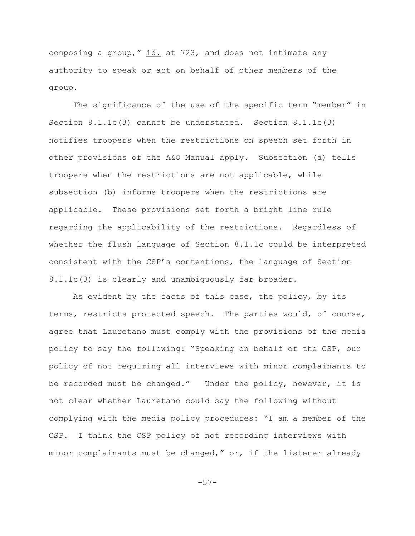composing a group," id. at 723, and does not intimate any authority to speak or act on behalf of other members of the group.

The significance of the use of the specific term "member" in Section 8.1.1c(3) cannot be understated. Section 8.1.1c(3) notifies troopers when the restrictions on speech set forth in other provisions of the A&O Manual apply. Subsection (a) tells troopers when the restrictions are not applicable, while subsection (b) informs troopers when the restrictions are applicable. These provisions set forth a bright line rule regarding the applicability of the restrictions. Regardless of whether the flush language of Section 8.1.1c could be interpreted consistent with the CSP's contentions, the language of Section 8.1.1c(3) is clearly and unambiguously far broader.

As evident by the facts of this case, the policy, by its terms, restricts protected speech. The parties would, of course, agree that Lauretano must comply with the provisions of the media policy to say the following: "Speaking on behalf of the CSP, our policy of not requiring all interviews with minor complainants to be recorded must be changed." Under the policy, however, it is not clear whether Lauretano could say the following without complying with the media policy procedures: "I am a member of the CSP. I think the CSP policy of not recording interviews with minor complainants must be changed," or, if the listener already

-57-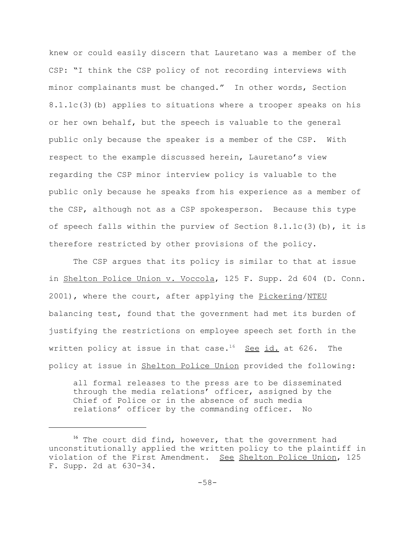knew or could easily discern that Lauretano was a member of the CSP: "I think the CSP policy of not recording interviews with minor complainants must be changed." In other words, Section 8.1.1c(3)(b) applies to situations where a trooper speaks on his or her own behalf, but the speech is valuable to the general public only because the speaker is a member of the CSP. With respect to the example discussed herein, Lauretano's view regarding the CSP minor interview policy is valuable to the public only because he speaks from his experience as a member of the CSP, although not as a CSP spokesperson. Because this type of speech falls within the purview of Section  $8.1.1c(3)(b)$ , it is therefore restricted by other provisions of the policy.

The CSP argues that its policy is similar to that at issue in Shelton Police Union v. Voccola, 125 F. Supp. 2d 604 (D. Conn. 2001), where the court, after applying the Pickering/NTEU balancing test, found that the government had met its burden of justifying the restrictions on employee speech set forth in the written policy at issue in that case.<sup>16</sup> See id. at 626. The policy at issue in Shelton Police Union provided the following:

all formal releases to the press are to be disseminated through the media relations' officer, assigned by the Chief of Police or in the absence of such media relations' officer by the commanding officer. No

<sup>&</sup>lt;sup>16</sup> The court did find, however, that the government had unconstitutionally applied the written policy to the plaintiff in violation of the First Amendment. See Shelton Police Union, 125 F. Supp. 2d at 630-34.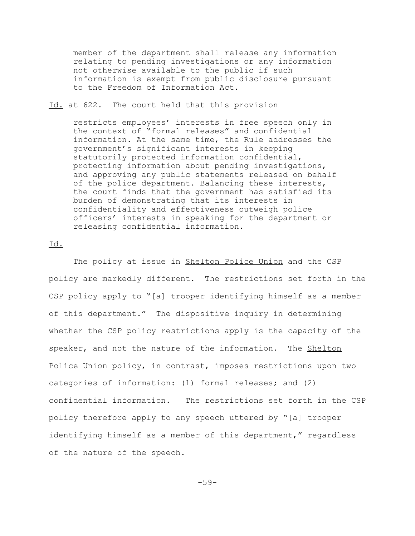member of the department shall release any information relating to pending investigations or any information not otherwise available to the public if such information is exempt from public disclosure pursuant to the Freedom of Information Act.

## Id. at 622. The court held that this provision

restricts employees' interests in free speech only in the context of "formal releases" and confidential information. At the same time, the Rule addresses the government's significant interests in keeping statutorily protected information confidential, protecting information about pending investigations, and approving any public statements released on behalf of the police department. Balancing these interests, the court finds that the government has satisfied its burden of demonstrating that its interests in confidentiality and effectiveness outweigh police officers' interests in speaking for the department or releasing confidential information.

## Id.

The policy at issue in Shelton Police Union and the CSP policy are markedly different. The restrictions set forth in the CSP policy apply to "[a] trooper identifying himself as a member of this department." The dispositive inquiry in determining whether the CSP policy restrictions apply is the capacity of the speaker, and not the nature of the information. The Shelton Police Union policy, in contrast, imposes restrictions upon two categories of information: (1) formal releases; and (2) confidential information. The restrictions set forth in the CSP policy therefore apply to any speech uttered by "[a] trooper identifying himself as a member of this department," regardless of the nature of the speech.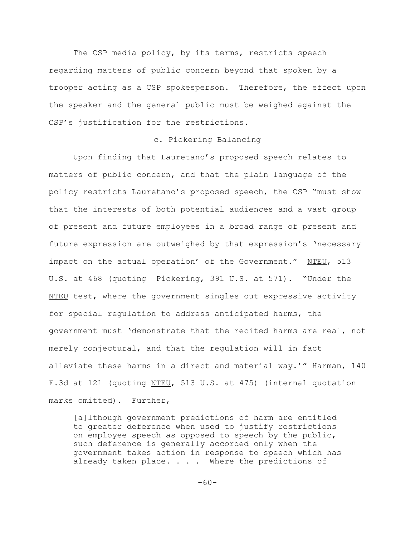The CSP media policy, by its terms, restricts speech regarding matters of public concern beyond that spoken by a trooper acting as a CSP spokesperson. Therefore, the effect upon the speaker and the general public must be weighed against the CSP's justification for the restrictions.

## c. Pickering Balancing

Upon finding that Lauretano's proposed speech relates to matters of public concern, and that the plain language of the policy restricts Lauretano's proposed speech, the CSP "must show that the interests of both potential audiences and a vast group of present and future employees in a broad range of present and future expression are outweighed by that expression's 'necessary impact on the actual operation' of the Government." NTEU, 513 U.S. at 468 (quoting Pickering, 391 U.S. at 571). "Under the NTEU test, where the government singles out expressive activity for special regulation to address anticipated harms, the government must 'demonstrate that the recited harms are real, not merely conjectural, and that the regulation will in fact alleviate these harms in a direct and material way.'" Harman, 140 F.3d at 121 (quoting NTEU, 513 U.S. at 475) (internal quotation marks omitted). Further,

[a]lthough government predictions of harm are entitled to greater deference when used to justify restrictions on employee speech as opposed to speech by the public, such deference is generally accorded only when the government takes action in response to speech which has already taken place. . . . Where the predictions of

 $-60-$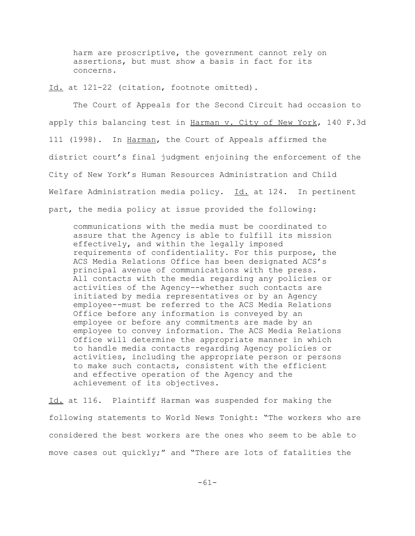harm are proscriptive, the government cannot rely on assertions, but must show a basis in fact for its concerns.

Id. at 121-22 (citation, footnote omitted).

The Court of Appeals for the Second Circuit had occasion to apply this balancing test in Harman v. City of New York, 140 F.3d 111 (1998). In Harman, the Court of Appeals affirmed the district court's final judgment enjoining the enforcement of the City of New York's Human Resources Administration and Child Welfare Administration media policy. Id. at 124. In pertinent part, the media policy at issue provided the following:

communications with the media must be coordinated to assure that the Agency is able to fulfill its mission effectively, and within the legally imposed requirements of confidentiality. For this purpose, the ACS Media Relations Office has been designated ACS's principal avenue of communications with the press. All contacts with the media regarding any policies or activities of the Agency--whether such contacts are initiated by media representatives or by an Agency employee--must be referred to the ACS Media Relations Office before any information is conveyed by an employee or before any commitments are made by an employee to convey information. The ACS Media Relations Office will determine the appropriate manner in which to handle media contacts regarding Agency policies or activities, including the appropriate person or persons to make such contacts, consistent with the efficient and effective operation of the Agency and the achievement of its objectives.

Id. at 116. Plaintiff Harman was suspended for making the following statements to World News Tonight: "The workers who are considered the best workers are the ones who seem to be able to move cases out quickly;" and "There are lots of fatalities the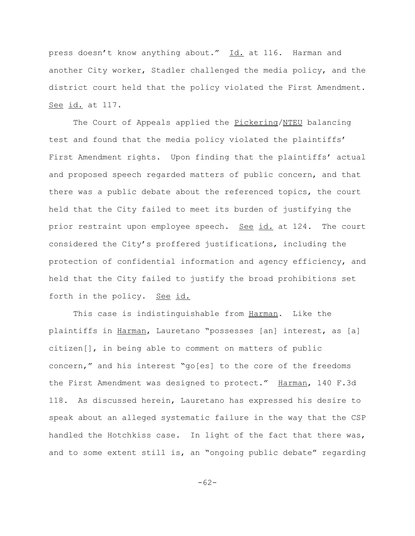press doesn't know anything about." Id. at 116. Harman and another City worker, Stadler challenged the media policy, and the district court held that the policy violated the First Amendment. See id. at 117.

The Court of Appeals applied the Pickering/NTEU balancing test and found that the media policy violated the plaintiffs' First Amendment rights. Upon finding that the plaintiffs' actual and proposed speech regarded matters of public concern, and that there was a public debate about the referenced topics, the court held that the City failed to meet its burden of justifying the prior restraint upon employee speech. See id. at 124. The court considered the City's proffered justifications, including the protection of confidential information and agency efficiency, and held that the City failed to justify the broad prohibitions set forth in the policy. See id.

This case is indistinguishable from Harman. Like the plaintiffs in Harman, Lauretano "possesses [an] interest, as [a] citizen[], in being able to comment on matters of public concern," and his interest "go[es] to the core of the freedoms the First Amendment was designed to protect." Harman, 140 F.3d 118. As discussed herein, Lauretano has expressed his desire to speak about an alleged systematic failure in the way that the CSP handled the Hotchkiss case. In light of the fact that there was, and to some extent still is, an "ongoing public debate" regarding

-62-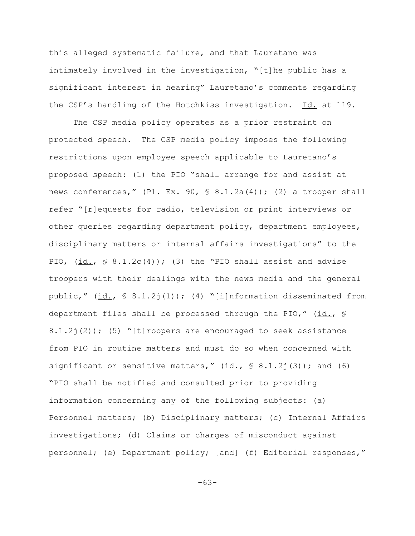this alleged systematic failure, and that Lauretano was intimately involved in the investigation, "[t]he public has a significant interest in hearing" Lauretano's comments regarding the CSP's handling of the Hotchkiss investigation. Id. at 119.

The CSP media policy operates as a prior restraint on protected speech. The CSP media policy imposes the following restrictions upon employee speech applicable to Lauretano's proposed speech: (1) the PIO "shall arrange for and assist at news conferences," (Pl. Ex. 90,  $\frac{1}{2}$  8.1.2a(4)); (2) a trooper shall refer "[r]equests for radio, television or print interviews or other queries regarding department policy, department employees, disciplinary matters or internal affairs investigations" to the PIO,  $(id., \S 8.1.2c(4))$ ; (3) the "PIO shall assist and advise troopers with their dealings with the news media and the general public," (id., § 8.1.2j(1)); (4) "[i]nformation disseminated from department files shall be processed through the PIO," (id., § 8.1.2j(2)); (5) "[t]roopers are encouraged to seek assistance from PIO in routine matters and must do so when concerned with significant or sensitive matters,"  $(id., \S 8.1.2j(3))$ ; and (6) "PIO shall be notified and consulted prior to providing information concerning any of the following subjects: (a) Personnel matters; (b) Disciplinary matters; (c) Internal Affairs investigations; (d) Claims or charges of misconduct against personnel; (e) Department policy; [and] (f) Editorial responses,"

-63-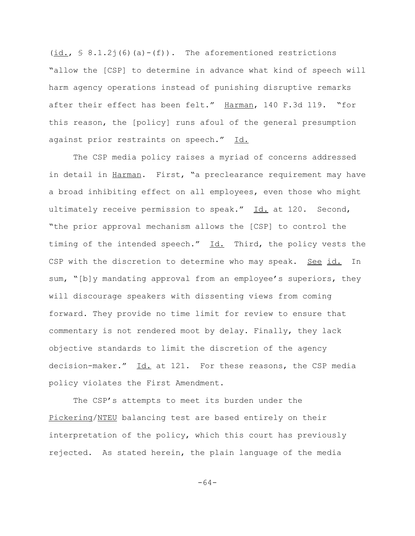$(\underline{id.}, \S$  8.1.2 $\dot{\theta}$  (a)-(f)). The aforementioned restrictions "allow the [CSP] to determine in advance what kind of speech will harm agency operations instead of punishing disruptive remarks after their effect has been felt." Harman, 140 F.3d 119. "for this reason, the [policy] runs afoul of the general presumption against prior restraints on speech." Id.

The CSP media policy raises a myriad of concerns addressed in detail in Harman. First, "a preclearance requirement may have a broad inhibiting effect on all employees, even those who might ultimately receive permission to speak."  $Id.$  at 120. Second, "the prior approval mechanism allows the [CSP] to control the timing of the intended speech." Id. Third, the policy vests the CSP with the discretion to determine who may speak. See id. In sum, "[b]y mandating approval from an employee's superiors, they will discourage speakers with dissenting views from coming forward. They provide no time limit for review to ensure that commentary is not rendered moot by delay. Finally, they lack objective standards to limit the discretion of the agency decision-maker." Id. at 121. For these reasons, the CSP media policy violates the First Amendment.

The CSP's attempts to meet its burden under the Pickering/NTEU balancing test are based entirely on their interpretation of the policy, which this court has previously rejected. As stated herein, the plain language of the media

-64-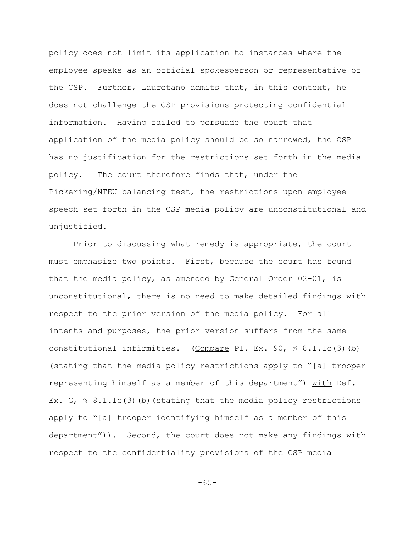policy does not limit its application to instances where the employee speaks as an official spokesperson or representative of the CSP. Further, Lauretano admits that, in this context, he does not challenge the CSP provisions protecting confidential information. Having failed to persuade the court that application of the media policy should be so narrowed, the CSP has no justification for the restrictions set forth in the media policy. The court therefore finds that, under the Pickering/NTEU balancing test, the restrictions upon employee speech set forth in the CSP media policy are unconstitutional and unjustified.

Prior to discussing what remedy is appropriate, the court must emphasize two points. First, because the court has found that the media policy, as amended by General Order 02-01, is unconstitutional, there is no need to make detailed findings with respect to the prior version of the media policy. For all intents and purposes, the prior version suffers from the same constitutional infirmities. (Compare Pl. Ex. 90,  $\frac{1}{5}$  8.1.1c(3)(b) (stating that the media policy restrictions apply to "[a] trooper representing himself as a member of this department") with Def. Ex. G,  $\frac{1}{5}$  8.1.1c(3)(b)(stating that the media policy restrictions apply to "[a] trooper identifying himself as a member of this department")). Second, the court does not make any findings with respect to the confidentiality provisions of the CSP media

-65-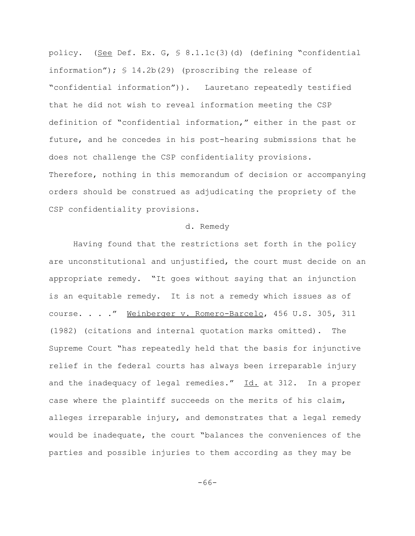policy. (See Def. Ex. G, § 8.1.1c(3)(d) (defining "confidential information"); § 14.2b(29) (proscribing the release of "confidential information")). Lauretano repeatedly testified that he did not wish to reveal information meeting the CSP definition of "confidential information," either in the past or future, and he concedes in his post-hearing submissions that he does not challenge the CSP confidentiality provisions. Therefore, nothing in this memorandum of decision or accompanying orders should be construed as adjudicating the propriety of the CSP confidentiality provisions.

#### d. Remedy

Having found that the restrictions set forth in the policy are unconstitutional and unjustified, the court must decide on an appropriate remedy. "It goes without saying that an injunction is an equitable remedy. It is not a remedy which issues as of course. . . ." Weinberger v. Romero-Barcelo, 456 U.S. 305, 311 (1982) (citations and internal quotation marks omitted). The Supreme Court "has repeatedly held that the basis for injunctive relief in the federal courts has always been irreparable injury and the inadequacy of legal remedies." Id. at 312. In a proper case where the plaintiff succeeds on the merits of his claim, alleges irreparable injury, and demonstrates that a legal remedy would be inadequate, the court "balances the conveniences of the parties and possible injuries to them according as they may be

-66-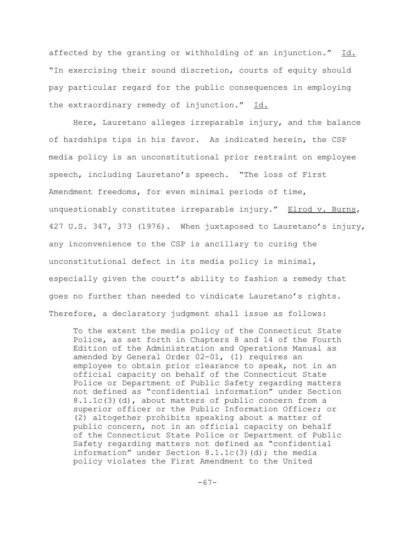affected by the granting or withholding of an injunction." Id. "In exercising their sound discretion, courts of equity should pay particular regard for the public consequences in employing the extraordinary remedy of injunction." Id.

Here, Lauretano alleges irreparable injury, and the balance of hardships tips in his favor. As indicated herein, the CSP media policy is an unconstitutional prior restraint on employee speech, including Lauretano's speech. "The loss of First Amendment freedoms, for even minimal periods of time, unquestionably constitutes irreparable injury." Elrod v. Burns, 427 U.S. 347, 373 (1976). When juxtaposed to Lauretano's injury, any inconvenience to the CSP is ancillary to curing the unconstitutional defect in its media policy is minimal, especially given the court's ability to fashion a remedy that goes no further than needed to vindicate Lauretano's rights. Therefore, a declaratory judgment shall issue as follows:

To the extent the media policy of the Connecticut State Police, as set forth in Chapters 8 and 14 of the Fourth Edition of the Administration and Operations Manual as amended by General Order 02-01, (1) requires an employee to obtain prior clearance to speak, not in an official capacity on behalf of the Connecticut State Police or Department of Public Safety regarding matters not defined as "confidential information" under Section 8.1.1c(3)(d), about matters of public concern from a superior officer or the Public Information Officer; or (2) altogether prohibits speaking about a matter of public concern, not in an official capacity on behalf of the Connecticut State Police or Department of Public Safety regarding matters not defined as "confidential information" under Section  $8.1.1c(3)(d)$ ; the media policy violates the First Amendment to the United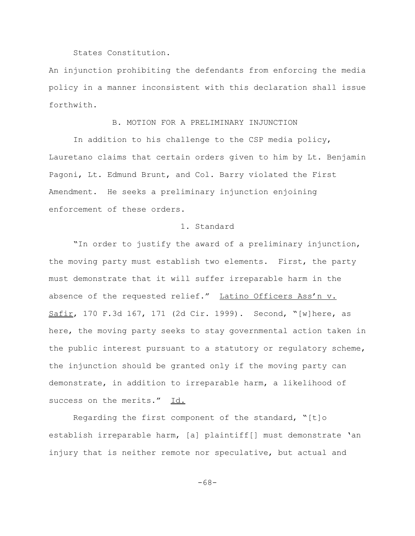#### States Constitution.

An injunction prohibiting the defendants from enforcing the media policy in a manner inconsistent with this declaration shall issue forthwith.

## B. MOTION FOR A PRELIMINARY INJUNCTION

In addition to his challenge to the CSP media policy, Lauretano claims that certain orders given to him by Lt. Benjamin Pagoni, Lt. Edmund Brunt, and Col. Barry violated the First Amendment. He seeks a preliminary injunction enjoining enforcement of these orders.

#### 1. Standard

"In order to justify the award of a preliminary injunction, the moving party must establish two elements. First, the party must demonstrate that it will suffer irreparable harm in the absence of the requested relief." Latino Officers Ass'n v. Safir, 170 F.3d 167, 171 (2d Cir. 1999). Second, "[w]here, as here, the moving party seeks to stay governmental action taken in the public interest pursuant to a statutory or regulatory scheme, the injunction should be granted only if the moving party can demonstrate, in addition to irreparable harm, a likelihood of success on the merits." Id.

Regarding the first component of the standard, "[t]o establish irreparable harm, [a] plaintiff[] must demonstrate 'an injury that is neither remote nor speculative, but actual and

-68-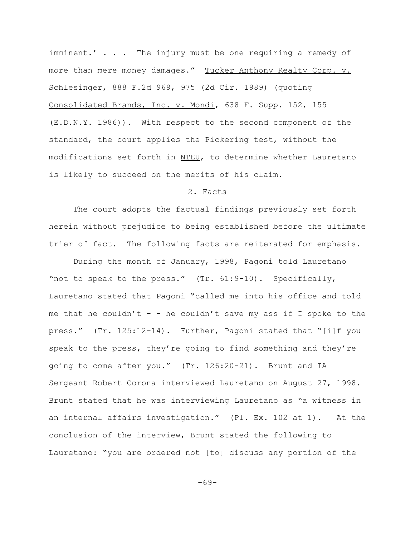imminent.' . . . The injury must be one requiring a remedy of more than mere money damages." Tucker Anthony Realty Corp. v. Schlesinger, 888 F.2d 969, 975 (2d Cir. 1989) (quoting Consolidated Brands, Inc. v. Mondi, 638 F. Supp. 152, 155 (E.D.N.Y. 1986)). With respect to the second component of the standard, the court applies the Pickering test, without the modifications set forth in NTEU, to determine whether Lauretano is likely to succeed on the merits of his claim.

## 2. Facts

The court adopts the factual findings previously set forth herein without prejudice to being established before the ultimate trier of fact. The following facts are reiterated for emphasis.

During the month of January, 1998, Pagoni told Lauretano "not to speak to the press." (Tr. 61:9-10). Specifically, Lauretano stated that Pagoni "called me into his office and told me that he couldn't - - he couldn't save my ass if I spoke to the press." (Tr. 125:12-14). Further, Pagoni stated that "[i]f you speak to the press, they're going to find something and they're going to come after you." (Tr. 126:20-21). Brunt and IA Sergeant Robert Corona interviewed Lauretano on August 27, 1998. Brunt stated that he was interviewing Lauretano as "a witness in an internal affairs investigation." (Pl. Ex. 102 at 1). At the conclusion of the interview, Brunt stated the following to Lauretano: "you are ordered not [to] discuss any portion of the

-69-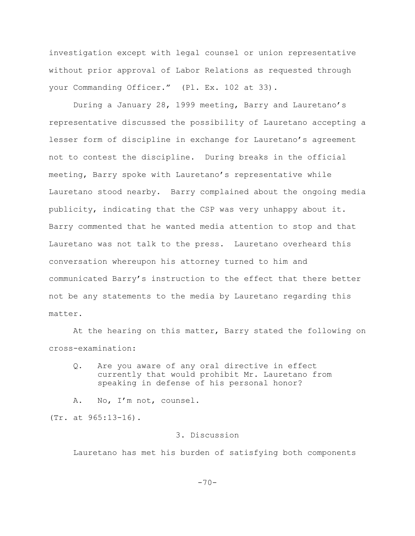investigation except with legal counsel or union representative without prior approval of Labor Relations as requested through your Commanding Officer." (Pl. Ex. 102 at 33).

During a January 28, 1999 meeting, Barry and Lauretano's representative discussed the possibility of Lauretano accepting a lesser form of discipline in exchange for Lauretano's agreement not to contest the discipline. During breaks in the official meeting, Barry spoke with Lauretano's representative while Lauretano stood nearby. Barry complained about the ongoing media publicity, indicating that the CSP was very unhappy about it. Barry commented that he wanted media attention to stop and that Lauretano was not talk to the press. Lauretano overheard this conversation whereupon his attorney turned to him and communicated Barry's instruction to the effect that there better not be any statements to the media by Lauretano regarding this matter.

At the hearing on this matter, Barry stated the following on cross-examination:

Q. Are you aware of any oral directive in effect currently that would prohibit Mr. Lauretano from speaking in defense of his personal honor?

A. No, I'm not, counsel.

(Tr. at 965:13-16).

## 3. Discussion

Lauretano has met his burden of satisfying both components

 $-70-$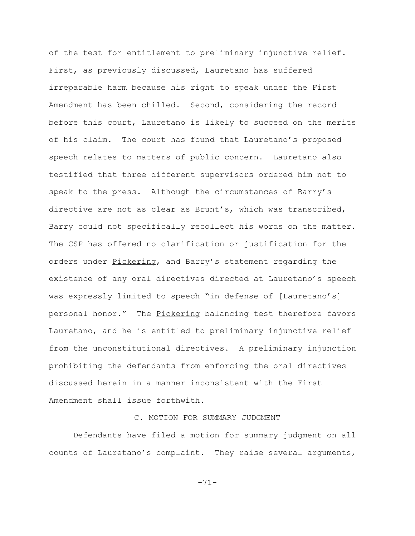of the test for entitlement to preliminary injunctive relief. First, as previously discussed, Lauretano has suffered irreparable harm because his right to speak under the First Amendment has been chilled. Second, considering the record before this court, Lauretano is likely to succeed on the merits of his claim. The court has found that Lauretano's proposed speech relates to matters of public concern. Lauretano also testified that three different supervisors ordered him not to speak to the press. Although the circumstances of Barry's directive are not as clear as Brunt's, which was transcribed, Barry could not specifically recollect his words on the matter. The CSP has offered no clarification or justification for the orders under Pickering, and Barry's statement regarding the existence of any oral directives directed at Lauretano's speech was expressly limited to speech "in defense of [Lauretano's] personal honor." The Pickering balancing test therefore favors Lauretano, and he is entitled to preliminary injunctive relief from the unconstitutional directives. A preliminary injunction prohibiting the defendants from enforcing the oral directives discussed herein in a manner inconsistent with the First Amendment shall issue forthwith.

# C. MOTION FOR SUMMARY JUDGMENT

Defendants have filed a motion for summary judgment on all counts of Lauretano's complaint. They raise several arguments,

-71-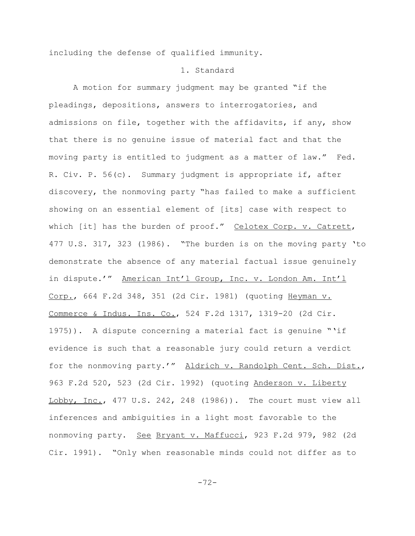including the defense of qualified immunity.

#### 1. Standard

A motion for summary judgment may be granted "if the pleadings, depositions, answers to interrogatories, and admissions on file, together with the affidavits, if any, show that there is no genuine issue of material fact and that the moving party is entitled to judgment as a matter of law." Fed. R. Civ. P. 56(c). Summary judgment is appropriate if, after discovery, the nonmoving party "has failed to make a sufficient showing on an essential element of [its] case with respect to which [it] has the burden of proof." Celotex Corp. v. Catrett, 477 U.S. 317, 323 (1986). "The burden is on the moving party 'to demonstrate the absence of any material factual issue genuinely in dispute.'" American Int'l Group, Inc. v. London Am. Int'l Corp., 664 F.2d 348, 351 (2d Cir. 1981) (quoting Heyman v. Commerce & Indus. Ins. Co., 524 F.2d 1317, 1319-20 (2d Cir. 1975)). A dispute concerning a material fact is genuine "'if evidence is such that a reasonable jury could return a verdict for the nonmoving party.'" Aldrich v. Randolph Cent. Sch. Dist., 963 F.2d 520, 523 (2d Cir. 1992) (quoting Anderson v. Liberty Lobby, Inc., 477 U.S. 242, 248 (1986)). The court must view all inferences and ambiguities in a light most favorable to the nonmoving party. See Bryant v. Maffucci, 923 F.2d 979, 982 (2d Cir. 1991). "Only when reasonable minds could not differ as to

-72-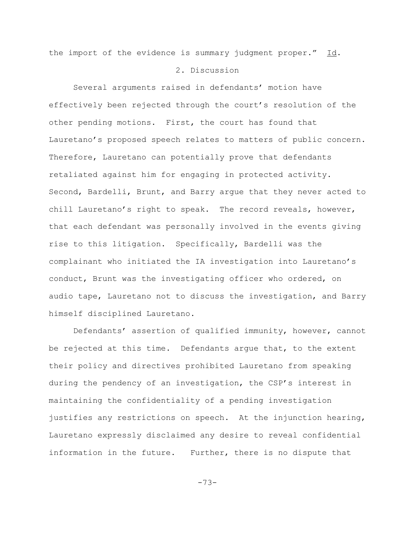the import of the evidence is summary judgment proper." Id.

## 2. Discussion

Several arguments raised in defendants' motion have effectively been rejected through the court's resolution of the other pending motions. First, the court has found that Lauretano's proposed speech relates to matters of public concern. Therefore, Lauretano can potentially prove that defendants retaliated against him for engaging in protected activity. Second, Bardelli, Brunt, and Barry argue that they never acted to chill Lauretano's right to speak. The record reveals, however, that each defendant was personally involved in the events giving rise to this litigation. Specifically, Bardelli was the complainant who initiated the IA investigation into Lauretano's conduct, Brunt was the investigating officer who ordered, on audio tape, Lauretano not to discuss the investigation, and Barry himself disciplined Lauretano.

Defendants' assertion of qualified immunity, however, cannot be rejected at this time. Defendants argue that, to the extent their policy and directives prohibited Lauretano from speaking during the pendency of an investigation, the CSP's interest in maintaining the confidentiality of a pending investigation justifies any restrictions on speech. At the injunction hearing, Lauretano expressly disclaimed any desire to reveal confidential information in the future. Further, there is no dispute that

-73-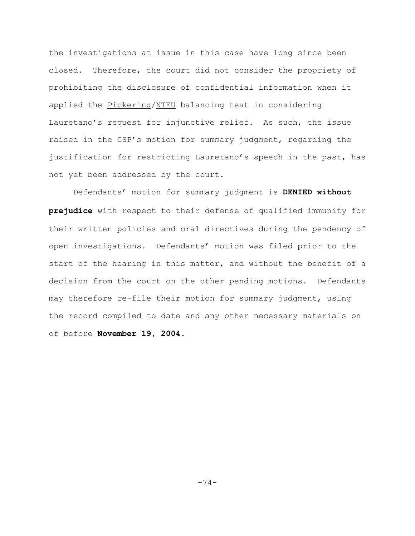the investigations at issue in this case have long since been closed. Therefore, the court did not consider the propriety of prohibiting the disclosure of confidential information when it applied the Pickering/NTEU balancing test in considering Lauretano's request for injunctive relief. As such, the issue raised in the CSP's motion for summary judgment, regarding the justification for restricting Lauretano's speech in the past, has not yet been addressed by the court.

Defendants' motion for summary judgment is **DENIED without prejudice** with respect to their defense of qualified immunity for their written policies and oral directives during the pendency of open investigations. Defendants' motion was filed prior to the start of the hearing in this matter, and without the benefit of a decision from the court on the other pending motions. Defendants may therefore re-file their motion for summary judgment, using the record compiled to date and any other necessary materials on of before **November 19, 2004.**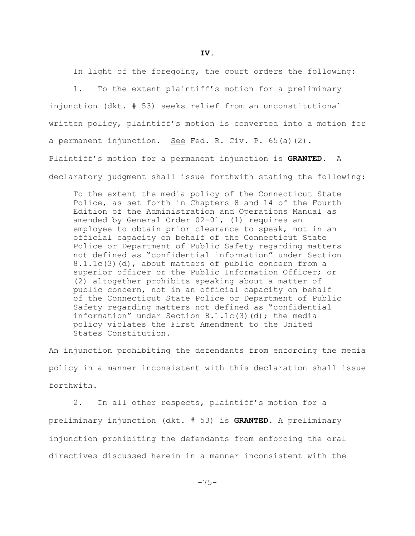In light of the foregoing, the court orders the following:

1. To the extent plaintiff's motion for a preliminary injunction (dkt. # 53) seeks relief from an unconstitutional written policy, plaintiff's motion is converted into a motion for a permanent injunction. See Fed. R. Civ. P.  $65(a)(2)$ . Plaintiff's motion for a permanent injunction is **GRANTED**. A declaratory judgment shall issue forthwith stating the following:

To the extent the media policy of the Connecticut State Police, as set forth in Chapters 8 and 14 of the Fourth Edition of the Administration and Operations Manual as amended by General Order 02-01, (1) requires an employee to obtain prior clearance to speak, not in an official capacity on behalf of the Connecticut State Police or Department of Public Safety regarding matters not defined as "confidential information" under Section 8.1.1c(3)(d), about matters of public concern from a superior officer or the Public Information Officer; or (2) altogether prohibits speaking about a matter of public concern, not in an official capacity on behalf of the Connecticut State Police or Department of Public Safety regarding matters not defined as "confidential information" under Section 8.1.1c(3)(d); the media policy violates the First Amendment to the United States Constitution.

An injunction prohibiting the defendants from enforcing the media policy in a manner inconsistent with this declaration shall issue forthwith.

2. In all other respects, plaintiff's motion for a preliminary injunction (dkt. # 53) is **GRANTED**. A preliminary injunction prohibiting the defendants from enforcing the oral directives discussed herein in a manner inconsistent with the